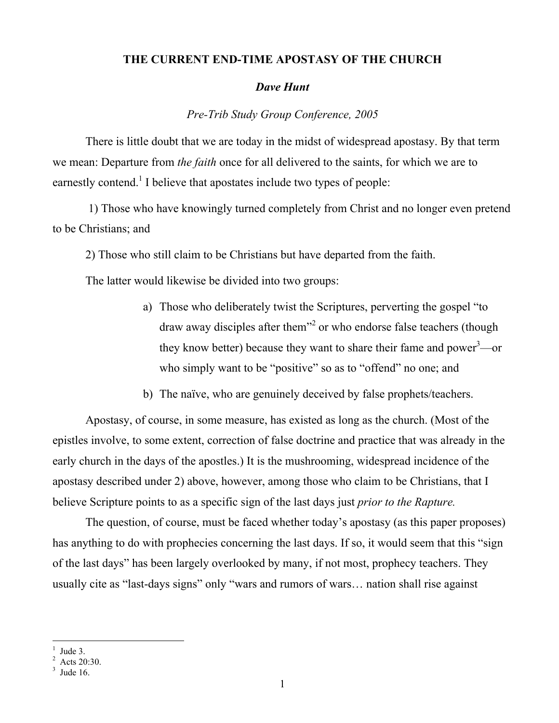## THE CURRENT END-TIME APOSTASY OF THE CHURCH

## *Dave Hunt*

*Pre-Trib Study Group Conference, 2005*

There is little doubt that we are today in the midst of widespread apostasy. By that term we mean: Departure from *the faith* once for all delivered to the saints, for which we are to earnestly contend.<sup>1</sup> I believe that apostates include two types of people:

 1) Those who have knowingly turned completely from Christ and no longer even pretend to be Christians; and

2) Those who still claim to be Christians but have departed from the faith.

The latter would likewise be divided into two groups:

- a) Those who deliberately twist the Scriptures, perverting the gospel "to draw away disciples after them<sup>32</sup> or who endorse false teachers (though they know better) because they want to share their fame and power<sup>3</sup>—or who simply want to be "positive" so as to "offend" no one; and
- b) The naïve, who are genuinely deceived by false prophets/teachers.

Apostasy, of course, in some measure, has existed as long as the church. (Most of the epistles involve, to some extent, correction of false doctrine and practice that was already in the early church in the days of the apostles.) It is the mushrooming, widespread incidence of the apostasy described under 2) above, however, among those who claim to be Christians, that I believe Scripture points to as a specific sign of the last days just *prior to the Rapture.*

The question, of course, must be faced whether today's apostasy (as this paper proposes) has anything to do with prophecies concerning the last days. If so, it would seem that this "sign of the last days" has been largely overlooked by many, if not most, prophecy teachers. They usually cite as "last-days signs" only "wars and rumors of wars… nation shall rise against

 $\frac{1}{1}$ Jude 3.

 $^{2}$  Acts 20:30.

 $3$  Jude 16.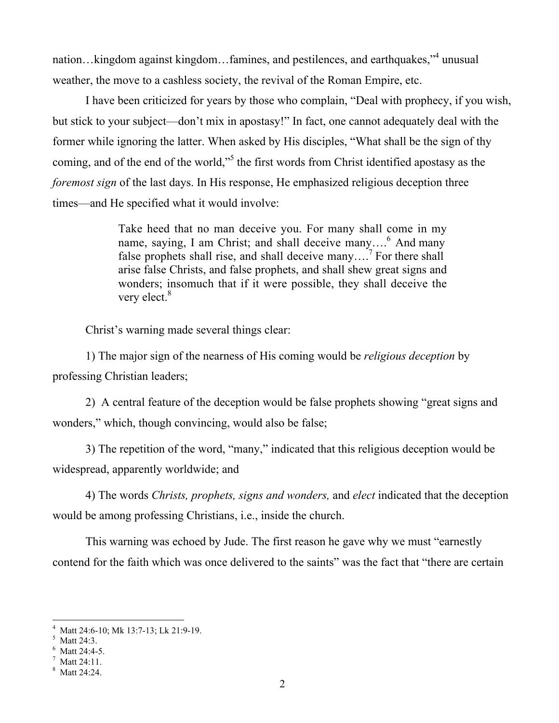nation...kingdom against kingdom...famines, and pestilences, and earthquakes,"<sup>4</sup> unusual weather, the move to a cashless society, the revival of the Roman Empire, etc.

I have been criticized for years by those who complain, "Deal with prophecy, if you wish, but stick to your subject—don't mix in apostasy!" In fact, one cannot adequately deal with the former while ignoring the latter. When asked by His disciples, "What shall be the sign of thy coming, and of the end of the world,"<sup>5</sup> the first words from Christ identified apostasy as the *foremost sign* of the last days. In His response, He emphasized religious deception three times—and He specified what it would involve:

> Take heed that no man deceive you. For many shall come in my name, saying, I am Christ; and shall deceive many....<sup>6</sup> And many false prophets shall rise, and shall deceive many....<sup>7</sup> For there shall arise false Christs, and false prophets, and shall shew great signs and wonders; insomuch that if it were possible, they shall deceive the very elect.<sup>8</sup>

Christ's warning made several things clear:

1) The major sign of the nearness of His coming would be *religious deception* by professing Christian leaders;

2) A central feature of the deception would be false prophets showing "great signs and wonders," which, though convincing, would also be false;

3) The repetition of the word, "many," indicated that this religious deception would be widespread, apparently worldwide; and

4) The words *Christs, prophets, signs and wonders,* and *elect* indicated that the deception would be among professing Christians, i.e., inside the church.

This warning was echoed by Jude. The first reason he gave why we must "earnestly contend for the faith which was once delivered to the saints" was the fact that "there are certain

 $\frac{1}{4}$ Matt 24:6-10; Mk 13:7-13; Lk 21:9-19.

Matt 24:3.

<sup>6</sup> Matt 24:4-5.

 $^7$  Matt 24:11.

<sup>8</sup> Matt 24:24.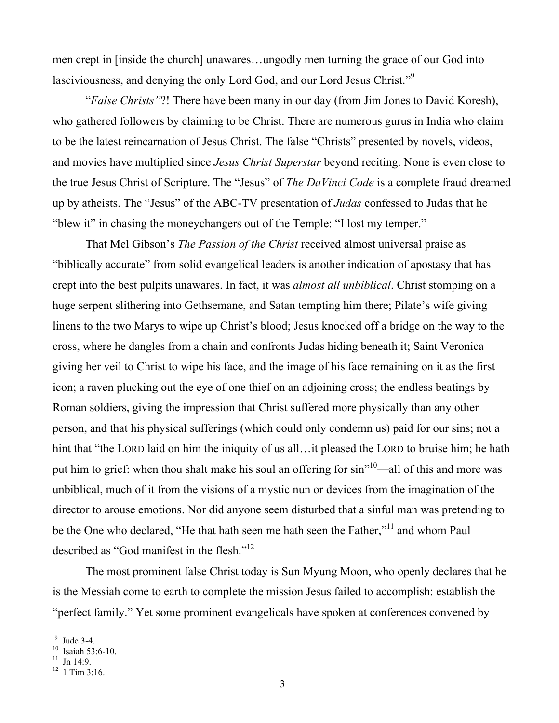men crept in [inside the church] unawares…ungodly men turning the grace of our God into lasciviousness, and denying the only Lord God, and our Lord Jesus Christ."<sup>9</sup>

"*False Christs"*?! There have been many in our day (from Jim Jones to David Koresh), who gathered followers by claiming to be Christ. There are numerous gurus in India who claim to be the latest reincarnation of Jesus Christ. The false "Christs" presented by novels, videos, and movies have multiplied since *Jesus Christ Superstar* beyond reciting. None is even close to the true Jesus Christ of Scripture. The "Jesus" of *The DaVinci Code* is a complete fraud dreamed up by atheists. The "Jesus" of the ABC-TV presentation of *Judas* confessed to Judas that he "blew it" in chasing the moneychangers out of the Temple: "I lost my temper."

That Mel Gibson's *The Passion of the Christ* received almost universal praise as "biblically accurate" from solid evangelical leaders is another indication of apostasy that has crept into the best pulpits unawares. In fact, it was *almost all unbiblical*. Christ stomping on a huge serpent slithering into Gethsemane, and Satan tempting him there; Pilate's wife giving linens to the two Marys to wipe up Christ's blood; Jesus knocked off a bridge on the way to the cross, where he dangles from a chain and confronts Judas hiding beneath it; Saint Veronica giving her veil to Christ to wipe his face, and the image of his face remaining on it as the first icon; a raven plucking out the eye of one thief on an adjoining cross; the endless beatings by Roman soldiers, giving the impression that Christ suffered more physically than any other person, and that his physical sufferings (which could only condemn us) paid for our sins; not a hint that "the LORD laid on him the iniquity of us all... it pleased the LORD to bruise him; he hath put him to grief: when thou shalt make his soul an offering for sin"<sup>10</sup>—all of this and more was unbiblical, much of it from the visions of a mystic nun or devices from the imagination of the director to arouse emotions. Nor did anyone seem disturbed that a sinful man was pretending to be the One who declared, "He that hath seen me hath seen the Father,"<sup>11</sup> and whom Paul described as "God manifest in the flesh."12

The most prominent false Christ today is Sun Myung Moon, who openly declares that he is the Messiah come to earth to complete the mission Jesus failed to accomplish: establish the "perfect family." Yet some prominent evangelicals have spoken at conferences convened by

 $\frac{9 \text{ Jude } 3-4.1}$ 

<sup>&</sup>lt;sup>10</sup> Isaiah 53:6-10.

 $11$  Jn 14:9.

 $12$  1 Tim 3:16.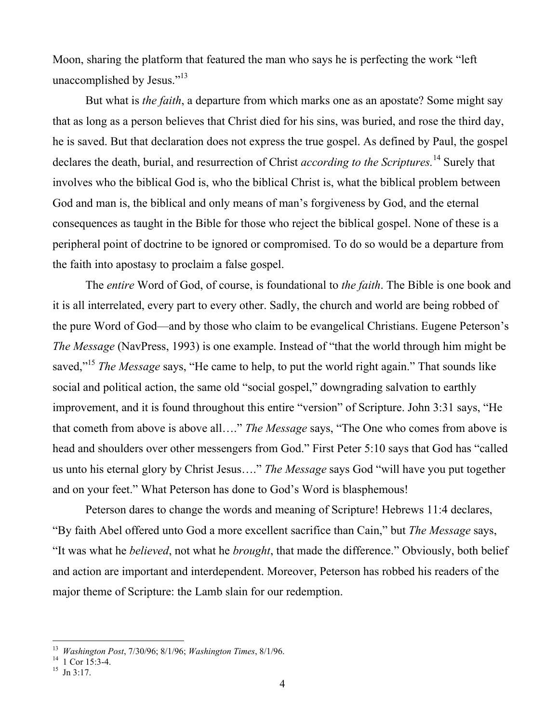Moon, sharing the platform that featured the man who says he is perfecting the work "left unaccomplished by Jesus."<sup>13</sup>

But what is *the faith*, a departure from which marks one as an apostate? Some might say that as long as a person believes that Christ died for his sins, was buried, and rose the third day, he is saved. But that declaration does not express the true gospel. As defined by Paul, the gospel declares the death, burial, and resurrection of Christ *according to the Scriptures*.<sup>14</sup> Surely that involves who the biblical God is, who the biblical Christ is, what the biblical problem between God and man is, the biblical and only means of man's forgiveness by God, and the eternal consequences as taught in the Bible for those who reject the biblical gospel. None of these is a peripheral point of doctrine to be ignored or compromised. To do so would be a departure from the faith into apostasy to proclaim a false gospel.

The *entire* Word of God, of course, is foundational to *the faith*. The Bible is one book and it is all interrelated, every part to every other. Sadly, the church and world are being robbed of the pure Word of God—and by those who claim to be evangelical Christians. Eugene Peterson's *The Message* (NavPress, 1993) is one example. Instead of "that the world through him might be saved,"15 *The Message* says, "He came to help, to put the world right again." That sounds like social and political action, the same old "social gospel," downgrading salvation to earthly improvement, and it is found throughout this entire "version" of Scripture. John 3:31 says, "He that cometh from above is above all…." *The Message* says, "The One who comes from above is head and shoulders over other messengers from God." First Peter 5:10 says that God has "called us unto his eternal glory by Christ Jesus…." *The Message* says God "will have you put together and on your feet." What Peterson has done to God's Word is blasphemous!

Peterson dares to change the words and meaning of Scripture! Hebrews 11:4 declares, "By faith Abel offered unto God a more excellent sacrifice than Cain," but *The Message* says, "It was what he *believed*, not what he *brought*, that made the difference." Obviously, both belief and action are important and interdependent. Moreover, Peterson has robbed his readers of the major theme of Scripture: the Lamb slain for our redemption.

<sup>13</sup> *Washington Post*, 7/30/96; 8/1/96; *Washington Times*, 8/1/96. <sup>14</sup>

 $^{14}$   $\frac{1}{1}$  Cor 15:3-4.

 $15$  Jn 3:17.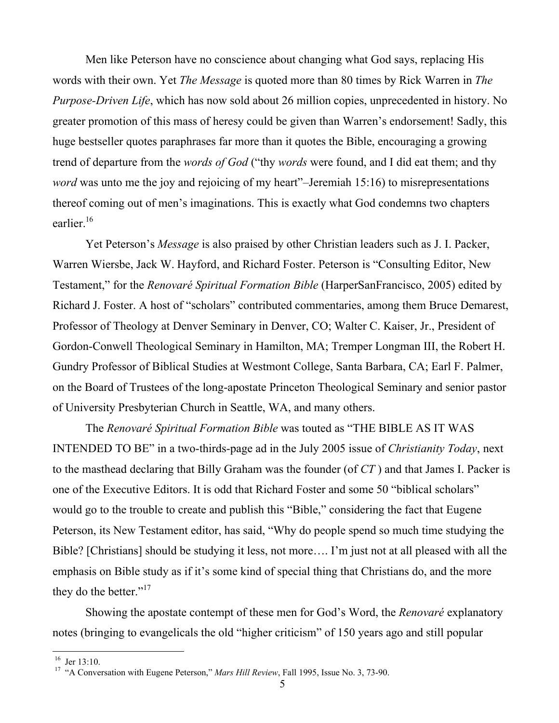Men like Peterson have no conscience about changing what God says, replacing His words with their own. Yet *The Message* is quoted more than 80 times by Rick Warren in *The Purpose-Driven Life*, which has now sold about 26 million copies, unprecedented in history. No greater promotion of this mass of heresy could be given than Warren's endorsement! Sadly, this huge bestseller quotes paraphrases far more than it quotes the Bible, encouraging a growing trend of departure from the *words of God* ("thy *words* were found, and I did eat them; and thy *word* was unto me the joy and rejoicing of my heart"–Jeremiah 15:16) to misrepresentations thereof coming out of men's imaginations. This is exactly what God condemns two chapters earlier.<sup>16</sup>

Yet Peterson's *Message* is also praised by other Christian leaders such as J. I. Packer, Warren Wiersbe, Jack W. Hayford, and Richard Foster. Peterson is "Consulting Editor, New Testament," for the *Renovaré Spiritual Formation Bible* (HarperSanFrancisco, 2005) edited by Richard J. Foster. A host of "scholars" contributed commentaries, among them Bruce Demarest, Professor of Theology at Denver Seminary in Denver, CO; Walter C. Kaiser, Jr., President of Gordon-Conwell Theological Seminary in Hamilton, MA; Tremper Longman III, the Robert H. Gundry Professor of Biblical Studies at Westmont College, Santa Barbara, CA; Earl F. Palmer, on the Board of Trustees of the long-apostate Princeton Theological Seminary and senior pastor of University Presbyterian Church in Seattle, WA, and many others.

The *Renovaré Spiritual Formation Bible* was touted as "THE BIBLE AS IT WAS INTENDED TO BE" in a two-thirds-page ad in the July 2005 issue of *Christianity Today*, next to the masthead declaring that Billy Graham was the founder (of *CT* ) and that James I. Packer is one of the Executive Editors. It is odd that Richard Foster and some 50 "biblical scholars" would go to the trouble to create and publish this "Bible," considering the fact that Eugene Peterson, its New Testament editor, has said, "Why do people spend so much time studying the Bible? [Christians] should be studying it less, not more…. I'm just not at all pleased with all the emphasis on Bible study as if it's some kind of special thing that Christians do, and the more they do the better."<sup>17</sup>

Showing the apostate contempt of these men for God's Word, the *Renovaré* explanatory notes (bringing to evangelicals the old "higher criticism" of 150 years ago and still popular

<sup>&</sup>lt;sup>16</sup> Jer 13:10.

<sup>&</sup>lt;sup>17</sup> "A Conversation with Eugene Peterson," Mars Hill Review, Fall 1995, Issue No. 3, 73-90.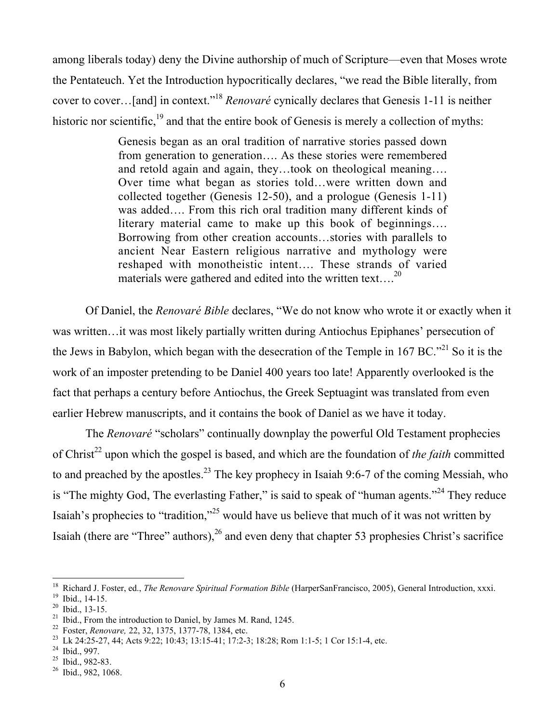among liberals today) deny the Divine authorship of much of Scripture—even that Moses wrote the Pentateuch. Yet the Introduction hypocritically declares, "we read the Bible literally, from cover to cover…[and] in context."18 *Renovaré* cynically declares that Genesis 1-11 is neither historic nor scientific,  $19$  and that the entire book of Genesis is merely a collection of myths:

> Genesis began as an oral tradition of narrative stories passed down from generation to generation…. As these stories were remembered and retold again and again, they…took on theological meaning…. Over time what began as stories told…were written down and collected together (Genesis 12-50), and a prologue (Genesis 1-11) was added…. From this rich oral tradition many different kinds of literary material came to make up this book of beginnings…. Borrowing from other creation accounts…stories with parallels to ancient Near Eastern religious narrative and mythology were reshaped with monotheistic intent…. These strands of varied materials were gathered and edited into the written text....<sup>20</sup>

Of Daniel, the *Renovaré Bible* declares, "We do not know who wrote it or exactly when it was written…it was most likely partially written during Antiochus Epiphanes' persecution of the Jews in Babylon, which began with the desecration of the Temple in 167 BC."<sup>21</sup> So it is the work of an imposter pretending to be Daniel 400 years too late! Apparently overlooked is the fact that perhaps a century before Antiochus, the Greek Septuagint was translated from even earlier Hebrew manuscripts, and it contains the book of Daniel as we have it today.

The *Renovaré* "scholars" continually downplay the powerful Old Testament prophecies of Christ<sup>22</sup> upon which the gospel is based, and which are the foundation of *the faith* committed to and preached by the apostles.<sup>23</sup> The key prophecy in Isaiah 9:6-7 of the coming Messiah, who is "The mighty God, The everlasting Father," is said to speak of "human agents."<sup>24</sup> They reduce Isaiah's prophecies to "tradition,"<sup>25</sup> would have us believe that much of it was not written by Isaiah (there are "Three" authors),  $^{26}$  and even deny that chapter 53 prophesies Christ's sacrifice

 <sup>18</sup> <sup>18</sup> Richard J. Foster, ed., *The Renovare Spiritual Formation Bible* (HarperSanFrancisco, 2005), General Introduction, xxxi. 19<br><sup>19</sup> Ibid. 14.15

<sup>&</sup>lt;sup>19</sup> Ibid., 14-15.

 $^{20}$  Ibid., 13-15.

<sup>&</sup>lt;sup>21</sup> Ibid., From the introduction to Daniel, by James M. Rand, 1245.

<sup>&</sup>lt;sup>22</sup> Foster, *Renovare,* 22, 32, 1375, 1377-78, 1384, etc. <sup>23</sup> Lk 24:25, 27, 44: Acts 0:22: 10:43: 13:15, 41: 17:2

Lk 24:25-27, 44; Acts 9:22; 10:43; 13:15-41; 17:2-3; 18:28; Rom 1:1-5; 1 Cor 15:1-4, etc.

 $^{24}$  Ibid., 997.

 $^{25}$  Ibid., 982-83.

<sup>26</sup> Ibid., 982, 1068.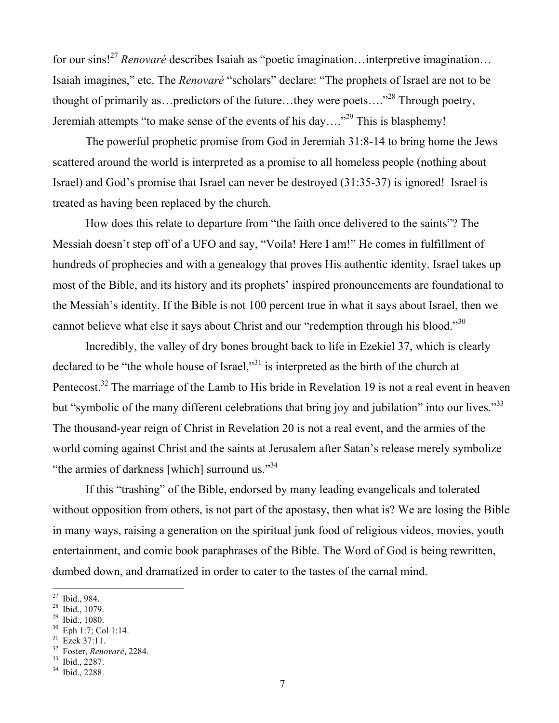for our sins!<sup>27</sup> *Renovaré* describes Isaiah as "poetic imagination…interpretive imagination… Isaiah imagines," etc. The *Renovaré* "scholars" declare: "The prophets of Israel are not to be thought of primarily as...predictors of the future...they were poets...."<sup>28</sup> Through poetry, Jeremiah attempts "to make sense of the events of his day...."<sup>29</sup> This is blasphemy!

The powerful prophetic promise from God in Jeremiah 31:8-14 to bring home the Jews scattered around the world is interpreted as a promise to all homeless people (nothing about Israel) and God's promise that Israel can never be destroyed (31:35-37) is ignored! Israel is treated as having been replaced by the church.

How does this relate to departure from "the faith once delivered to the saints"? The Messiah doesn't step off of a UFO and say, "Voila! Here I am!" He comes in fulfillment of hundreds of prophecies and with a genealogy that proves His authentic identity. Israel takes up most of the Bible, and its history and its prophets' inspired pronouncements are foundational to the Messiah's identity. If the Bible is not 100 percent true in what it says about Israel, then we cannot believe what else it says about Christ and our "redemption through his blood."<sup>30</sup>

Incredibly, the valley of dry bones brought back to life in Ezekiel 37, which is clearly declared to be "the whole house of Israel,"<sup>31</sup> is interpreted as the birth of the church at Pentecost.<sup>32</sup> The marriage of the Lamb to His bride in Revelation 19 is not a real event in heaven but "symbolic of the many different celebrations that bring joy and jubilation" into our lives."<sup>33</sup> The thousand-year reign of Christ in Revelation 20 is not a real event, and the armies of the world coming against Christ and the saints at Jerusalem after Satan's release merely symbolize "the armies of darkness [which] surround us."<sup>34</sup>

If this "trashing" of the Bible, endorsed by many leading evangelicals and tolerated without opposition from others, is not part of the apostasy, then what is? We are losing the Bible in many ways, raising a generation on the spiritual junk food of religious videos, movies, youth entertainment, and comic book paraphrases of the Bible. The Word of God is being rewritten, dumbed down, and dramatized in order to cater to the tastes of the carnal mind.

 <sup>27</sup> Ibid., 984.

 $28$  Ibid., 1079.

 $^{29}$  Ibid., 1080.

<sup>30</sup> Eph 1:7; Col 1:14.

<sup>31</sup> Ezek 37:11.

<sup>32</sup> <sup>32</sup> Foster, *Renovaré*, 2284.<br><sup>33</sup> Ibid. 2287

Ibid., 2287.

<sup>34</sup> Ibid., 2288.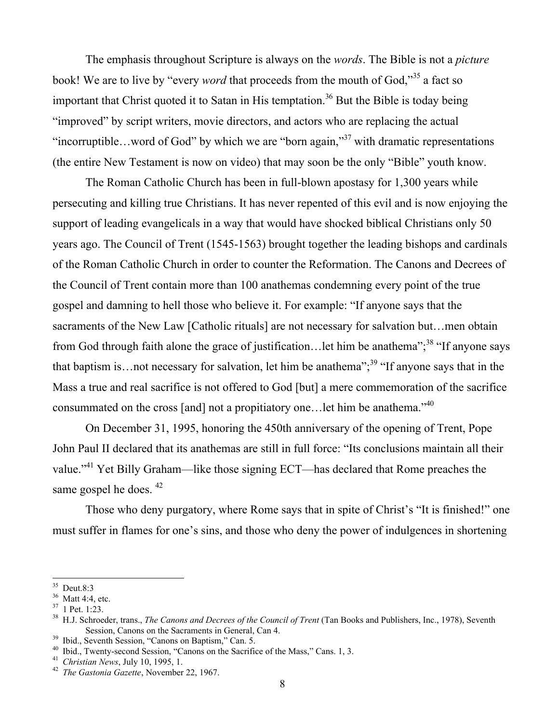The emphasis throughout Scripture is always on the *words*. The Bible is not a *picture* book! We are to live by "every *word* that proceeds from the mouth of God,"<sup>35</sup> a fact so important that Christ quoted it to Satan in His temptation.<sup>36</sup> But the Bible is today being "improved" by script writers, movie directors, and actors who are replacing the actual "incorruptible...word of God" by which we are "born again,"<sup>37</sup> with dramatic representations (the entire New Testament is now on video) that may soon be the only "Bible" youth know.

The Roman Catholic Church has been in full-blown apostasy for 1,300 years while persecuting and killing true Christians. It has never repented of this evil and is now enjoying the support of leading evangelicals in a way that would have shocked biblical Christians only 50 years ago. The Council of Trent (1545-1563) brought together the leading bishops and cardinals of the Roman Catholic Church in order to counter the Reformation. The Canons and Decrees of the Council of Trent contain more than 100 anathemas condemning every point of the true gospel and damning to hell those who believe it. For example: "If anyone says that the sacraments of the New Law [Catholic rituals] are not necessary for salvation but…men obtain from God through faith alone the grace of justification...let him be anathema";<sup>38</sup> "If anyone says that baptism is... not necessary for salvation, let him be anathema";<sup>39</sup> "If anyone says that in the Mass a true and real sacrifice is not offered to God [but] a mere commemoration of the sacrifice consummated on the cross [and] not a propitiatory one…let him be anathema."40

On December 31, 1995, honoring the 450th anniversary of the opening of Trent, Pope John Paul II declared that its anathemas are still in full force: "Its conclusions maintain all their value."<sup>41</sup> Yet Billy Graham—like those signing ECT—has declared that Rome preaches the same gospel he does.  $42$ 

Those who deny purgatory, where Rome says that in spite of Christ's "It is finished!" one must suffer in flames for one's sins, and those who deny the power of indulgences in shortening

<sup>&</sup>lt;sup>35</sup> Deut.8:3

 $36$  Matt 4:4, etc.

<sup>37</sup> 1 Pet. 1:23.

<sup>38</sup> H.J. Schroeder, trans., *The Canons and Decrees of the Council of Trent* (Tan Books and Publishers, Inc., 1978), Seventh Session, Canons on the Sacraments in General, Can 4.

<sup>&</sup>lt;sup>39</sup> Ibid., Seventh Session, "Canons on Baptism," Can. 5.

<sup>&</sup>lt;sup>40</sup> Ibid., Twenty-second Session, "Canons on the Sacrifice of the Mass," Cans. 1, 3.

<sup>&</sup>lt;sup>41</sup> *Christian News*, July 10, 1995, 1.

*The Gastonia Gazette*, November 22, 1967.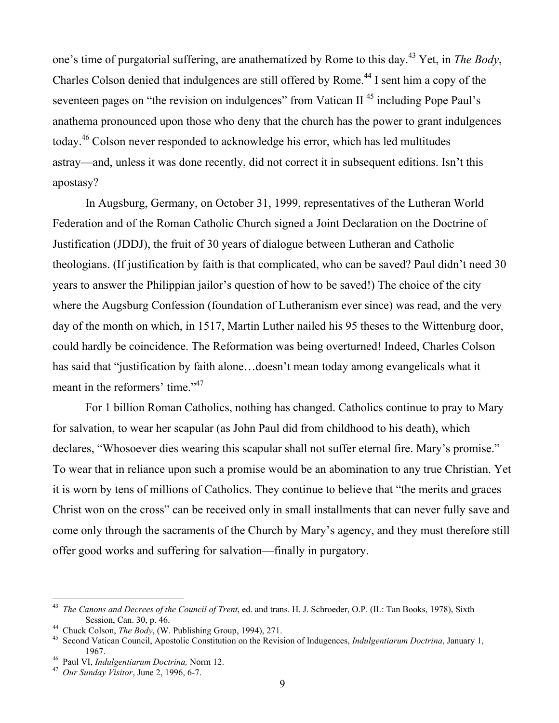one's time of purgatorial suffering, are anathematized by Rome to this day.<sup>43</sup> Yet, in *The Body*, Charles Colson denied that indulgences are still offered by Rome.<sup>44</sup> I sent him a copy of the seventeen pages on "the revision on indulgences" from Vatican II<sup>45</sup> including Pope Paul's anathema pronounced upon those who deny that the church has the power to grant indulgences today.<sup>46</sup> Colson never responded to acknowledge his error, which has led multitudes astray—and, unless it was done recently, did not correct it in subsequent editions. Isn't this apostasy?

In Augsburg, Germany, on October 31, 1999, representatives of the Lutheran World Federation and of the Roman Catholic Church signed a Joint Declaration on the Doctrine of Justification (JDDJ), the fruit of 30 years of dialogue between Lutheran and Catholic theologians. (If justification by faith is that complicated, who can be saved? Paul didn't need 30 years to answer the Philippian jailor's question of how to be saved!) The choice of the city where the Augsburg Confession (foundation of Lutheranism ever since) was read, and the very day of the month on which, in 1517, Martin Luther nailed his 95 theses to the Wittenburg door, could hardly be coincidence. The Reformation was being overturned! Indeed, Charles Colson has said that "justification by faith alone…doesn't mean today among evangelicals what it meant in the reformers' time."<sup>47</sup>

For 1 billion Roman Catholics, nothing has changed. Catholics continue to pray to Mary for salvation, to wear her scapular (as John Paul did from childhood to his death), which declares, "Whosoever dies wearing this scapular shall not suffer eternal fire. Mary's promise." To wear that in reliance upon such a promise would be an abomination to any true Christian. Yet it is worn by tens of millions of Catholics. They continue to believe that "the merits and graces Christ won on the cross" can be received only in small installments that can never fully save and come only through the sacraments of the Church by Mary's agency, and they must therefore still offer good works and suffering for salvation—finally in purgatory.

 <sup>43</sup> *The Canons and Decrees of the Council of Trent*, ed. and trans. H. J. Schroeder, O.P. (IL: Tan Books, 1978), Sixth Session, Can. 30, p. 46.

<sup>&</sup>lt;sup>44</sup> Chuck Colson, *The Body*, (W. Publishing Group, 1994), 271.

Second Vatican Council, Apostolic Constitution on the Revision of Indugences, *Indulgentiarum Doctrina*, January 1,  $1967.$ <sup>46</sup> Paul VI, Inc.

<sup>&</sup>lt;sup>46</sup> Paul VI, *Indulgentiarum Doctrina*, Norm 12.<br><sup>47</sup> Our Synder Visitor, June 2, 1996, 6, 7.

*Our Sunday Visitor*, June 2, 1996, 6-7.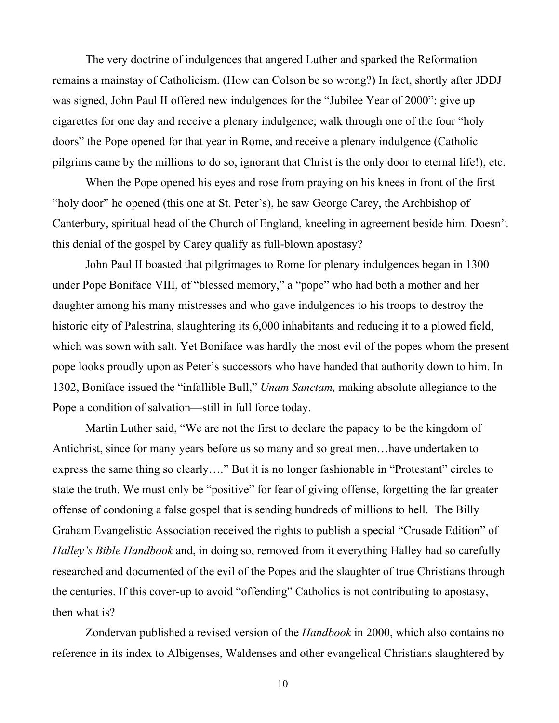The very doctrine of indulgences that angered Luther and sparked the Reformation remains a mainstay of Catholicism. (How can Colson be so wrong?) In fact, shortly after JDDJ was signed, John Paul II offered new indulgences for the "Jubilee Year of 2000": give up cigarettes for one day and receive a plenary indulgence; walk through one of the four "holy doors" the Pope opened for that year in Rome, and receive a plenary indulgence (Catholic pilgrims came by the millions to do so, ignorant that Christ is the only door to eternal life!), etc.

When the Pope opened his eyes and rose from praying on his knees in front of the first "holy door" he opened (this one at St. Peter's), he saw George Carey, the Archbishop of Canterbury, spiritual head of the Church of England, kneeling in agreement beside him. Doesn't this denial of the gospel by Carey qualify as full-blown apostasy?

John Paul II boasted that pilgrimages to Rome for plenary indulgences began in 1300 under Pope Boniface VIII, of "blessed memory," a "pope" who had both a mother and her daughter among his many mistresses and who gave indulgences to his troops to destroy the historic city of Palestrina, slaughtering its 6,000 inhabitants and reducing it to a plowed field, which was sown with salt. Yet Boniface was hardly the most evil of the popes whom the present pope looks proudly upon as Peter's successors who have handed that authority down to him. In 1302, Boniface issued the "infallible Bull," *Unam Sanctam,* making absolute allegiance to the Pope a condition of salvation—still in full force today.

Martin Luther said, "We are not the first to declare the papacy to be the kingdom of Antichrist, since for many years before us so many and so great men…have undertaken to express the same thing so clearly…." But it is no longer fashionable in "Protestant" circles to state the truth. We must only be "positive" for fear of giving offense, forgetting the far greater offense of condoning a false gospel that is sending hundreds of millions to hell. The Billy Graham Evangelistic Association received the rights to publish a special "Crusade Edition" of *Halley's Bible Handbook* and, in doing so, removed from it everything Halley had so carefully researched and documented of the evil of the Popes and the slaughter of true Christians through the centuries. If this cover-up to avoid "offending" Catholics is not contributing to apostasy, then what is?

Zondervan published a revised version of the *Handbook* in 2000, which also contains no reference in its index to Albigenses, Waldenses and other evangelical Christians slaughtered by

10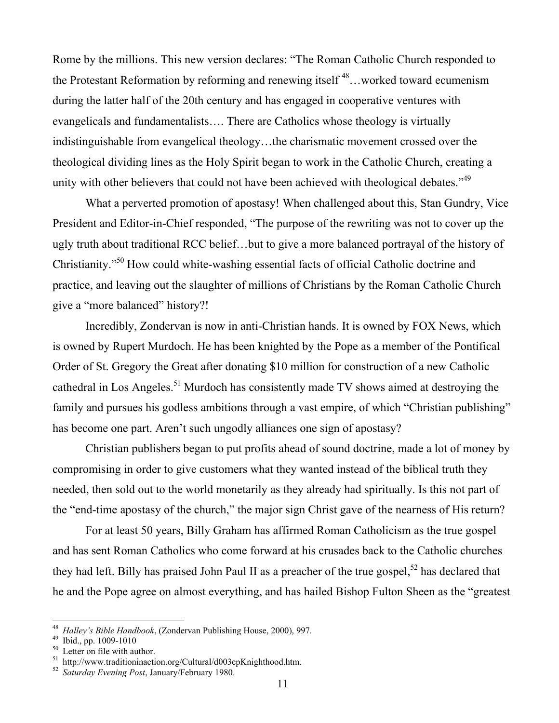Rome by the millions. This new version declares: "The Roman Catholic Church responded to the Protestant Reformation by reforming and renewing itself  $^{48}$ ...worked toward ecumenism during the latter half of the 20th century and has engaged in cooperative ventures with evangelicals and fundamentalists…. There are Catholics whose theology is virtually indistinguishable from evangelical theology…the charismatic movement crossed over the theological dividing lines as the Holy Spirit began to work in the Catholic Church, creating a unity with other believers that could not have been achieved with theological debates."<sup>49</sup>

What a perverted promotion of apostasy! When challenged about this, Stan Gundry, Vice President and Editor-in-Chief responded, "The purpose of the rewriting was not to cover up the ugly truth about traditional RCC belief…but to give a more balanced portrayal of the history of Christianity."<sup>50</sup> How could white-washing essential facts of official Catholic doctrine and practice, and leaving out the slaughter of millions of Christians by the Roman Catholic Church give a "more balanced" history?!

Incredibly, Zondervan is now in anti-Christian hands. It is owned by FOX News, which is owned by Rupert Murdoch. He has been knighted by the Pope as a member of the Pontifical Order of St. Gregory the Great after donating \$10 million for construction of a new Catholic cathedral in Los Angeles.<sup>51</sup> Murdoch has consistently made TV shows aimed at destroying the family and pursues his godless ambitions through a vast empire, of which "Christian publishing" has become one part. Aren't such ungodly alliances one sign of apostasy?

Christian publishers began to put profits ahead of sound doctrine, made a lot of money by compromising in order to give customers what they wanted instead of the biblical truth they needed, then sold out to the world monetarily as they already had spiritually. Is this not part of the "end-time apostasy of the church," the major sign Christ gave of the nearness of His return?

For at least 50 years, Billy Graham has affirmed Roman Catholicism as the true gospel and has sent Roman Catholics who come forward at his crusades back to the Catholic churches they had left. Billy has praised John Paul II as a preacher of the true gospel,<sup>52</sup> has declared that he and the Pope agree on almost everything, and has hailed Bishop Fulton Sheen as the "greatest

 <sup>48</sup> <sup>48</sup> *Halley's Bible Handbook*, (Zondervan Publishing House, 2000), 997.<br><sup>49</sup> Ibid. np. 1000-1010

<sup>&</sup>lt;sup>49</sup> Ibid., pp. 1009-1010

<sup>&</sup>lt;sup>50</sup> Letter on file with author.

<sup>&</sup>lt;sup>51</sup> http://www.traditioninaction.org/Cultural/d003cpKnighthood.htm.

<sup>52</sup> *Saturday Evening Post*, January/February 1980.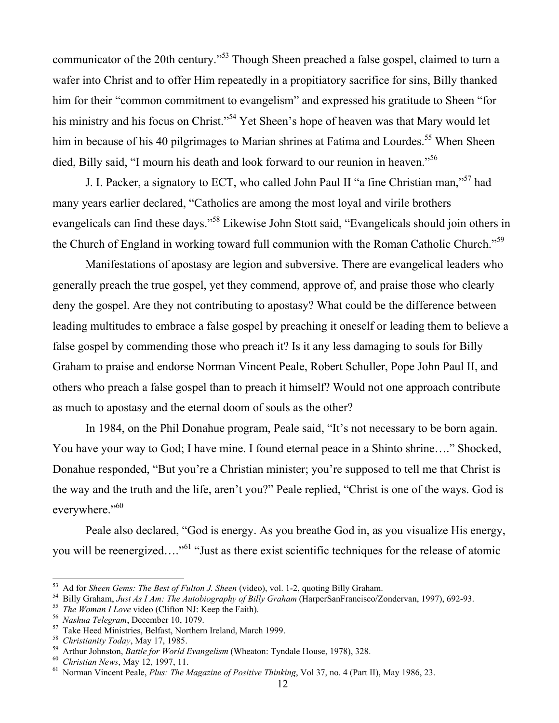communicator of the 20th century."<sup>53</sup> Though Sheen preached a false gospel, claimed to turn a wafer into Christ and to offer Him repeatedly in a propitiatory sacrifice for sins, Billy thanked him for their "common commitment to evangelism" and expressed his gratitude to Sheen "for his ministry and his focus on Christ."<sup>54</sup> Yet Sheen's hope of heaven was that Mary would let him in because of his 40 pilgrimages to Marian shrines at Fatima and Lourdes.<sup>55</sup> When Sheen died, Billy said, "I mourn his death and look forward to our reunion in heaven."<sup>56</sup>

J. I. Packer, a signatory to ECT, who called John Paul II "a fine Christian man,"<sup>57</sup> had many years earlier declared, "Catholics are among the most loyal and virile brothers evangelicals can find these days."<sup>58</sup> Likewise John Stott said, "Evangelicals should join others in the Church of England in working toward full communion with the Roman Catholic Church."<sup>59</sup>

Manifestations of apostasy are legion and subversive. There are evangelical leaders who generally preach the true gospel, yet they commend, approve of, and praise those who clearly deny the gospel. Are they not contributing to apostasy? What could be the difference between leading multitudes to embrace a false gospel by preaching it oneself or leading them to believe a false gospel by commending those who preach it? Is it any less damaging to souls for Billy Graham to praise and endorse Norman Vincent Peale, Robert Schuller, Pope John Paul II, and others who preach a false gospel than to preach it himself? Would not one approach contribute as much to apostasy and the eternal doom of souls as the other?

In 1984, on the Phil Donahue program, Peale said, "It's not necessary to be born again. You have your way to God; I have mine. I found eternal peace in a Shinto shrine…." Shocked, Donahue responded, "But you're a Christian minister; you're supposed to tell me that Christ is the way and the truth and the life, aren't you?" Peale replied, "Christ is one of the ways. God is everywhere."<sup>60</sup>

Peale also declared, "God is energy. As you breathe God in, as you visualize His energy, you will be reenergized...."<sup>61</sup> "Just as there exist scientific techniques for the release of atomic

 <sup>53</sup> <sup>55</sup> Ad for *Sheen Gems: The Best of Fulton J. Sheen* (video), vol. 1-2, quoting Billy Graham.<br><sup>54</sup> Billy Graham. *but As LAm: The Autobiography of Billy Graham* (HarperSanFransisco/Z

<sup>&</sup>lt;sup>54</sup> Billy Graham, *Just As I Am: The Autobiography of Billy Graham* (HarperSanFrancisco/Zondervan, 1997), 692-93.

<sup>&</sup>lt;sup>55</sup> *The Woman I Love* video (Clifton NJ: Keep the Faith).

<sup>&</sup>lt;sup>56</sup> Nashua Telegram, December 10, 1079.

<sup>&</sup>lt;sup>57</sup> Take Heed Ministries, Belfast, Northern Ireland, March 1999.

<sup>&</sup>lt;sup>58</sup> *Christianity Today*, May 17, 1985.

<sup>&</sup>lt;sup>59</sup> Arthur Johnston, *Battle for World Evangelism* (Wheaton: Tyndale House, 1978), 328.

<sup>&</sup>lt;sup>60</sup> Christian News, May 12, 1997, 11.

Norman Vincent Peale, *Plus: The Magazine of Positive Thinking*, Vol 37, no. 4 (Part II), May 1986, 23.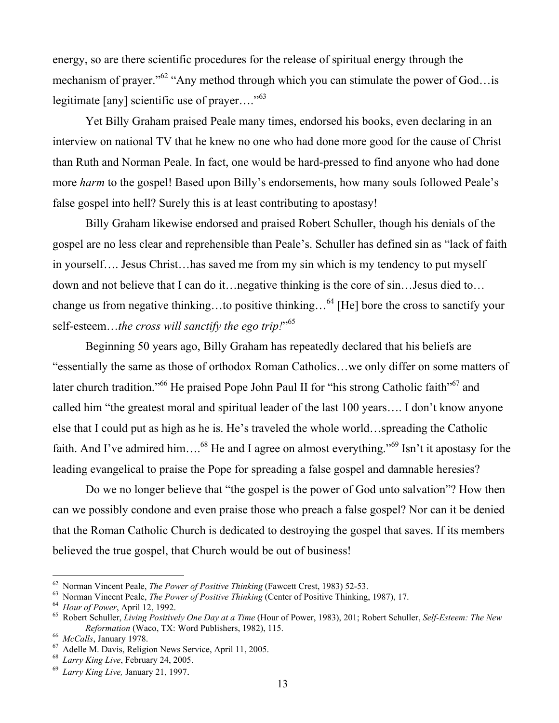energy, so are there scientific procedures for the release of spiritual energy through the mechanism of prayer."<sup>62</sup> "Any method through which you can stimulate the power of God... is legitimate [any] scientific use of prayer...."<sup>63</sup>

Yet Billy Graham praised Peale many times, endorsed his books, even declaring in an interview on national TV that he knew no one who had done more good for the cause of Christ than Ruth and Norman Peale. In fact, one would be hard-pressed to find anyone who had done more *harm* to the gospel! Based upon Billy's endorsements, how many souls followed Peale's false gospel into hell? Surely this is at least contributing to apostasy!

Billy Graham likewise endorsed and praised Robert Schuller, though his denials of the gospel are no less clear and reprehensible than Peale's. Schuller has defined sin as "lack of faith in yourself…. Jesus Christ…has saved me from my sin which is my tendency to put myself down and not believe that I can do it…negative thinking is the core of sin…Jesus died to… change us from negative thinking...to positive thinking...<sup>64</sup> [He] bore the cross to sanctify your self-esteem…*the cross will sanctify the ego trip!*" 65

Beginning 50 years ago, Billy Graham has repeatedly declared that his beliefs are "essentially the same as those of orthodox Roman Catholics…we only differ on some matters of later church tradition."<sup>66</sup> He praised Pope John Paul II for "his strong Catholic faith"<sup>67</sup> and called him "the greatest moral and spiritual leader of the last 100 years…. I don't know anyone else that I could put as high as he is. He's traveled the whole world…spreading the Catholic faith. And I've admired him....<sup>68</sup> He and I agree on almost everything."<sup>69</sup> Isn't it apostasy for the leading evangelical to praise the Pope for spreading a false gospel and damnable heresies?

Do we no longer believe that "the gospel is the power of God unto salvation"? How then can we possibly condone and even praise those who preach a false gospel? Nor can it be denied that the Roman Catholic Church is dedicated to destroying the gospel that saves. If its members believed the true gospel, that Church would be out of business!

 <sup>62</sup> <sup>62</sup> Norman Vincent Peale, *The Power of Positive Thinking* (Fawcett Crest, 1983) 52-53.<br><sup>63</sup> Norman Vincent Boole, *The Power of Positive Thinking (Conter of Positive Thinking* 

<sup>&</sup>lt;sup>63</sup> Norman Vincent Peale, *The Power of Positive Thinking* (Center of Positive Thinking, 1987), 17.

<sup>&</sup>lt;sup>64</sup> Hour of Power, April 12, 1992.

Robert Schuller, *Living Positively One Day at a Time* (Hour of Power, 1983), 201; Robert Schuller, *Self-Esteem: The New Reformation* (Waco, TX: Word Publishers, 1982), 115.

<sup>&</sup>lt;sup>66</sup> McCalls, January 1978.

 $67$  Adelle M. Davis, Religion News Service, April 11, 2005.

<sup>68</sup> *Larry King Live*, February 24, 2005.

<sup>69</sup> *Larry King Live,* January 21, 1997.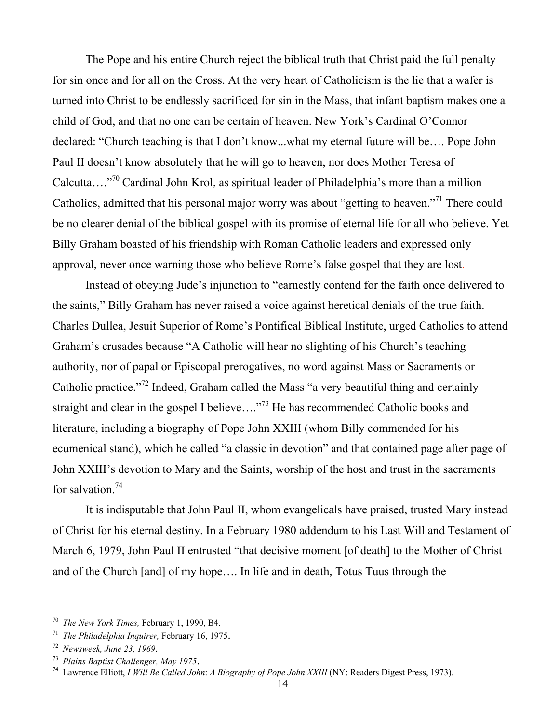The Pope and his entire Church reject the biblical truth that Christ paid the full penalty for sin once and for all on the Cross. At the very heart of Catholicism is the lie that a wafer is turned into Christ to be endlessly sacrificed for sin in the Mass, that infant baptism makes one a child of God, and that no one can be certain of heaven. New York's Cardinal O'Connor declared: "Church teaching is that I don't know...what my eternal future will be…. Pope John Paul II doesn't know absolutely that he will go to heaven, nor does Mother Teresa of Calcutta....<sup>"70</sup> Cardinal John Krol, as spiritual leader of Philadelphia's more than a million Catholics, admitted that his personal major worry was about "getting to heaven."<sup>71</sup> There could be no clearer denial of the biblical gospel with its promise of eternal life for all who believe. Yet Billy Graham boasted of his friendship with Roman Catholic leaders and expressed only approval, never once warning those who believe Rome's false gospel that they are lost.

Instead of obeying Jude's injunction to "earnestly contend for the faith once delivered to the saints," Billy Graham has never raised a voice against heretical denials of the true faith. Charles Dullea, Jesuit Superior of Rome's Pontifical Biblical Institute, urged Catholics to attend Graham's crusades because "A Catholic will hear no slighting of his Church's teaching authority, nor of papal or Episcopal prerogatives, no word against Mass or Sacraments or Catholic practice."<sup>72</sup> Indeed, Graham called the Mass "a very beautiful thing and certainly straight and clear in the gospel I believe...."<sup>73</sup> He has recommended Catholic books and literature, including a biography of Pope John XXIII (whom Billy commended for his ecumenical stand), which he called "a classic in devotion" and that contained page after page of John XXIII's devotion to Mary and the Saints, worship of the host and trust in the sacraments for salvation.<sup>74</sup>

It is indisputable that John Paul II, whom evangelicals have praised, trusted Mary instead of Christ for his eternal destiny. In a February 1980 addendum to his Last Will and Testament of March 6, 1979, John Paul II entrusted "that decisive moment [of death] to the Mother of Christ and of the Church [and] of my hope…. In life and in death, Totus Tuus through the

 <sup>70</sup> *The New York Times,* February 1, 1990, B4.

<sup>71</sup> *The Philadelphia Inquirer,* February 16, 1975.

<sup>72</sup> *Newsweek, June 23, 1969*.

<sup>&</sup>lt;sup>73</sup> Plains Baptist Challenger, May 1975.<br><sup>74</sup> Lewropee Elliett, J Will Be Called Joh

Lawrence Elliott, *I Will Be Called John*: *A Biography of Pope John XXIII* (NY: Readers Digest Press, 1973).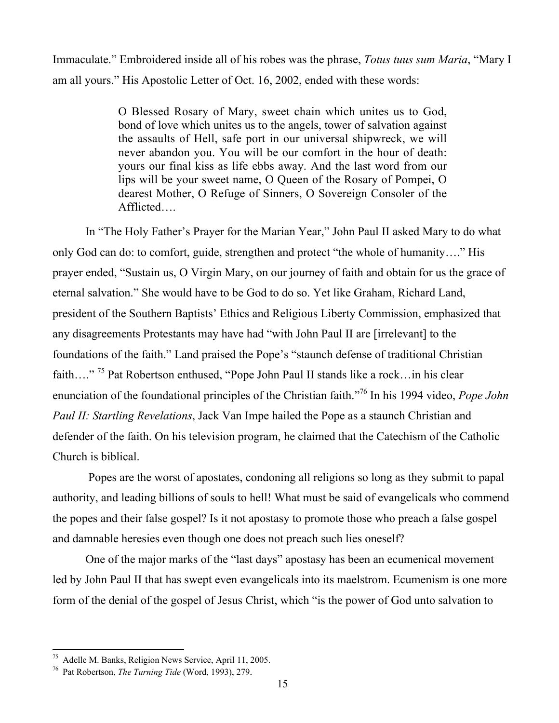Immaculate." Embroidered inside all of his robes was the phrase, *Totus tuus sum Maria*, "Mary I am all yours." His Apostolic Letter of Oct. 16, 2002, ended with these words:

> O Blessed Rosary of Mary, sweet chain which unites us to God, bond of love which unites us to the angels, tower of salvation against the assaults of Hell, safe port in our universal shipwreck, we will never abandon you. You will be our comfort in the hour of death: yours our final kiss as life ebbs away. And the last word from our lips will be your sweet name, O Queen of the Rosary of Pompei, O dearest Mother, O Refuge of Sinners, O Sovereign Consoler of the Afflicted….

In "The Holy Father's Prayer for the Marian Year," John Paul II asked Mary to do what only God can do: to comfort, guide, strengthen and protect "the whole of humanity…." His prayer ended, "Sustain us, O Virgin Mary, on our journey of faith and obtain for us the grace of eternal salvation." She would have to be God to do so. Yet like Graham, Richard Land, president of the Southern Baptists' Ethics and Religious Liberty Commission, emphasized that any disagreements Protestants may have had "with John Paul II are [irrelevant] to the foundations of the faith." Land praised the Pope's "staunch defense of traditional Christian faith...."<sup>75</sup> Pat Robertson enthused, "Pope John Paul II stands like a rock...in his clear enunciation of the foundational principles of the Christian faith."76 In his 1994 video, *Pope John Paul II: Startling Revelations*, Jack Van Impe hailed the Pope as a staunch Christian and defender of the faith. On his television program, he claimed that the Catechism of the Catholic Church is biblical.

 Popes are the worst of apostates, condoning all religions so long as they submit to papal authority, and leading billions of souls to hell! What must be said of evangelicals who commend the popes and their false gospel? Is it not apostasy to promote those who preach a false gospel and damnable heresies even though one does not preach such lies oneself?

One of the major marks of the "last days" apostasy has been an ecumenical movement led by John Paul II that has swept even evangelicals into its maelstrom. Ecumenism is one more form of the denial of the gospel of Jesus Christ, which "is the power of God unto salvation to

 <sup>75</sup> Adelle M. Banks, Religion News Service, April 11, 2005.

<sup>76</sup> Pat Robertson, *The Turning Tide* (Word, 1993), 279.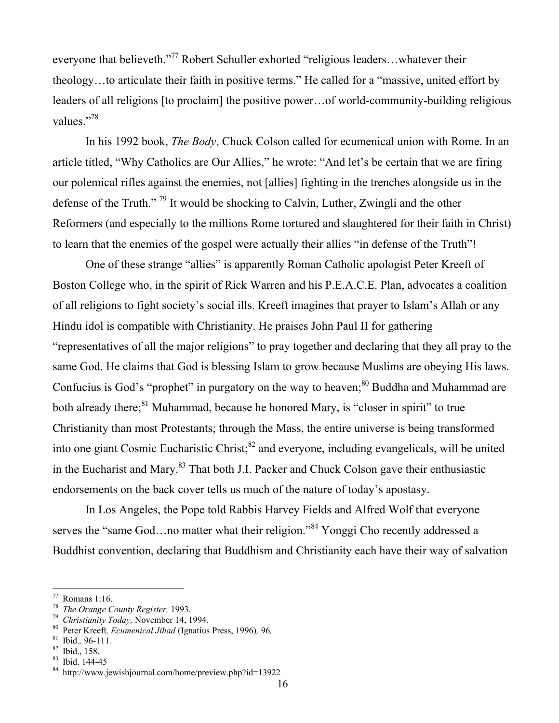everyone that believeth."<sup>77</sup> Robert Schuller exhorted "religious leaders...whatever their theology…to articulate their faith in positive terms." He called for a "massive, united effort by leaders of all religions [to proclaim] the positive power…of world-community-building religious values."<sup>78</sup>

In his 1992 book, *The Body*, Chuck Colson called for ecumenical union with Rome. In an article titled, "Why Catholics are Our Allies," he wrote: "And let's be certain that we are firing our polemical rifles against the enemies, not [allies] fighting in the trenches alongside us in the defense of the Truth."<sup>79</sup> It would be shocking to Calvin, Luther, Zwingli and the other Reformers (and especially to the millions Rome tortured and slaughtered for their faith in Christ) to learn that the enemies of the gospel were actually their allies "in defense of the Truth"!

One of these strange "allies" is apparently Roman Catholic apologist Peter Kreeft of Boston College who, in the spirit of Rick Warren and his P.E.A.C.E. Plan, advocates a coalition of all religions to fight society's social ills. Kreeft imagines that prayer to Islam's Allah or any Hindu idol is compatible with Christianity. He praises John Paul II for gathering "representatives of all the major religions" to pray together and declaring that they all pray to the same God. He claims that God is blessing Islam to grow because Muslims are obeying His laws. Confucius is God's "prophet" in purgatory on the way to heaven;<sup>80</sup> Buddha and Muhammad are both already there;<sup>81</sup> Muhammad, because he honored Mary, is "closer in spirit" to true Christianity than most Protestants; through the Mass, the entire universe is being transformed into one giant Cosmic Eucharistic Christ;<sup>82</sup> and everyone, including evangelicals, will be united in the Eucharist and Mary.<sup>83</sup> That both J.I. Packer and Chuck Colson gave their enthusiastic endorsements on the back cover tells us much of the nature of today's apostasy.

In Los Angeles, the Pope told Rabbis Harvey Fields and Alfred Wolf that everyone serves the "same God...no matter what their religion."<sup>84</sup> Yonggi Cho recently addressed a Buddhist convention, declaring that Buddhism and Christianity each have their way of salvation

 <sup>77</sup> Romans 1:16.

<sup>&</sup>lt;sup>78</sup> The Orange County Register, 1993.<br><sup>79</sup> Christianity Today, November 14, 1

<sup>&</sup>lt;sup>79</sup> Christianity Today, November 14, 1994.

Peter Kreeft*, Ecumenical Jihad* (Ignatius Press, 1996)*,* 96*,* <sup>81</sup>

 $\frac{81}{82}$  Ibid., 96-111.

Ibid., 158.

<sup>83</sup> Ibid. 144-45

<sup>84</sup> http://www.jewishjournal.com/home/preview.php?id=13922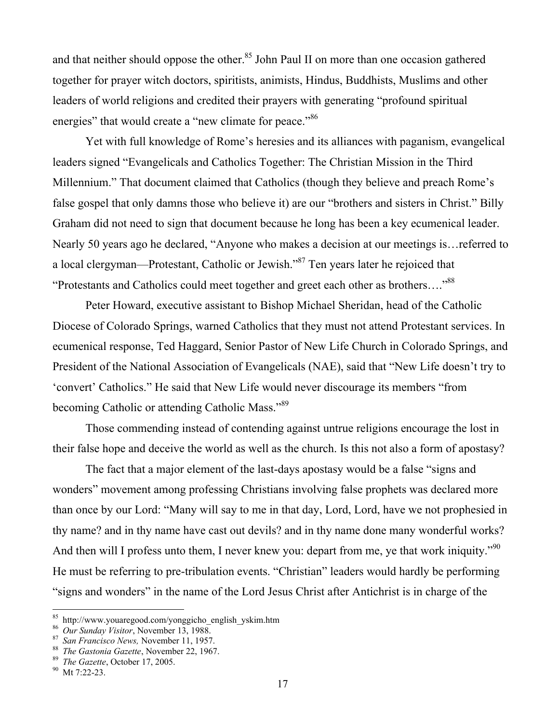and that neither should oppose the other.<sup>85</sup> John Paul II on more than one occasion gathered together for prayer witch doctors, spiritists, animists, Hindus, Buddhists, Muslims and other leaders of world religions and credited their prayers with generating "profound spiritual energies" that would create a "new climate for peace."<sup>86</sup>

Yet with full knowledge of Rome's heresies and its alliances with paganism, evangelical leaders signed "Evangelicals and Catholics Together: The Christian Mission in the Third Millennium." That document claimed that Catholics (though they believe and preach Rome's false gospel that only damns those who believe it) are our "brothers and sisters in Christ." Billy Graham did not need to sign that document because he long has been a key ecumenical leader. Nearly 50 years ago he declared, "Anyone who makes a decision at our meetings is…referred to a local clergyman—Protestant, Catholic or Jewish."<sup>87</sup> Ten years later he rejoiced that "Protestants and Catholics could meet together and greet each other as brothers...."<sup>88</sup>

Peter Howard, executive assistant to Bishop Michael Sheridan, head of the Catholic Diocese of Colorado Springs, warned Catholics that they must not attend Protestant services. In ecumenical response, Ted Haggard, Senior Pastor of New Life Church in Colorado Springs, and President of the National Association of Evangelicals (NAE), said that "New Life doesn't try to 'convert' Catholics." He said that New Life would never discourage its members "from becoming Catholic or attending Catholic Mass."<sup>89</sup>

Those commending instead of contending against untrue religions encourage the lost in their false hope and deceive the world as well as the church. Is this not also a form of apostasy?

The fact that a major element of the last-days apostasy would be a false "signs and wonders" movement among professing Christians involving false prophets was declared more than once by our Lord: "Many will say to me in that day, Lord, Lord, have we not prophesied in thy name? and in thy name have cast out devils? and in thy name done many wonderful works? And then will I profess unto them, I never knew you: depart from me, ye that work iniquity."<sup>90</sup> He must be referring to pre-tribulation events. "Christian" leaders would hardly be performing "signs and wonders" in the name of the Lord Jesus Christ after Antichrist is in charge of the

<sup>&</sup>lt;sup>85</sup> http://www.youaregood.com/yonggicho\_english\_yskim.htm

<sup>&</sup>lt;sup>86</sup> Our Sunday Visitor, November 13, 1988.<br><sup>87</sup> San Exangineo Nove November 11, 1957

<sup>&</sup>lt;sup>87</sup> San Francisco News, November 11, 1957.

<sup>&</sup>lt;sup>88</sup> The Gastonia Gazette, November 22, 1967.

<sup>&</sup>lt;sup>89</sup> The Gazette, October 17, 2005.

<sup>&</sup>lt;sup>90</sup> Mt 7:22-23.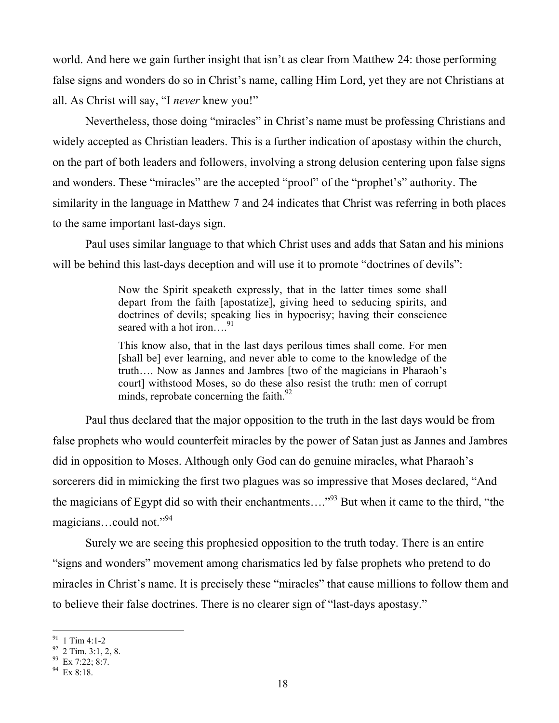world. And here we gain further insight that isn't as clear from Matthew 24: those performing false signs and wonders do so in Christ's name, calling Him Lord, yet they are not Christians at all. As Christ will say, "I *never* knew you!"

Nevertheless, those doing "miracles" in Christ's name must be professing Christians and widely accepted as Christian leaders. This is a further indication of apostasy within the church, on the part of both leaders and followers, involving a strong delusion centering upon false signs and wonders. These "miracles" are the accepted "proof" of the "prophet's" authority. The similarity in the language in Matthew 7 and 24 indicates that Christ was referring in both places to the same important last-days sign.

Paul uses similar language to that which Christ uses and adds that Satan and his minions will be behind this last-days deception and will use it to promote "doctrines of devils":

> Now the Spirit speaketh expressly, that in the latter times some shall depart from the faith [apostatize], giving heed to seducing spirits, and doctrines of devils; speaking lies in hypocrisy; having their conscience seared with a hot iron....<sup>91</sup>

> This know also, that in the last days perilous times shall come. For men [shall be] ever learning, and never able to come to the knowledge of the truth…. Now as Jannes and Jambres [two of the magicians in Pharaoh's court] withstood Moses, so do these also resist the truth: men of corrupt minds, reprobate concerning the faith.<sup>92</sup>

Paul thus declared that the major opposition to the truth in the last days would be from false prophets who would counterfeit miracles by the power of Satan just as Jannes and Jambres did in opposition to Moses. Although only God can do genuine miracles, what Pharaoh's sorcerers did in mimicking the first two plagues was so impressive that Moses declared, "And the magicians of Egypt did so with their enchantments...."<sup>93</sup> But when it came to the third, "the magicians…could not."<sup>94</sup>

Surely we are seeing this prophesied opposition to the truth today. There is an entire "signs and wonders" movement among charismatics led by false prophets who pretend to do miracles in Christ's name. It is precisely these "miracles" that cause millions to follow them and to believe their false doctrines. There is no clearer sign of "last-days apostasy."

<sup>&</sup>lt;sup>91</sup> 1 Tim 4:1-2

 $92$  2 Tim. 3:1, 2, 8.

 $93$  Ex 7:22; 8:7.

<sup>94</sup> Ex 8:18.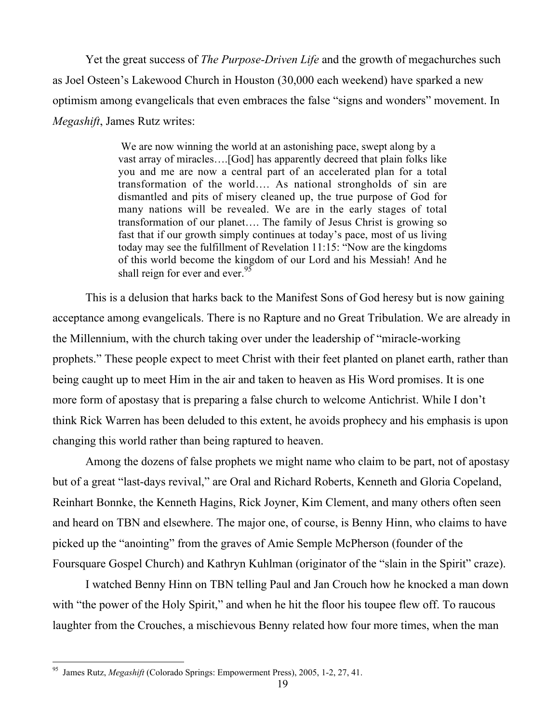Yet the great success of *The Purpose-Driven Life* and the growth of megachurches such as Joel Osteen's Lakewood Church in Houston (30,000 each weekend) have sparked a new optimism among evangelicals that even embraces the false "signs and wonders" movement. In *Megashift*, James Rutz writes:

> We are now winning the world at an astonishing pace, swept along by a vast array of miracles….[God] has apparently decreed that plain folks like you and me are now a central part of an accelerated plan for a total transformation of the world…. As national strongholds of sin are dismantled and pits of misery cleaned up, the true purpose of God for many nations will be revealed. We are in the early stages of total transformation of our planet…. The family of Jesus Christ is growing so fast that if our growth simply continues at today's pace, most of us living today may see the fulfillment of Revelation 11:15: "Now are the kingdoms of this world become the kingdom of our Lord and his Messiah! And he shall reign for ever and ever.  $95$

This is a delusion that harks back to the Manifest Sons of God heresy but is now gaining acceptance among evangelicals. There is no Rapture and no Great Tribulation. We are already in the Millennium, with the church taking over under the leadership of "miracle-working prophets." These people expect to meet Christ with their feet planted on planet earth, rather than being caught up to meet Him in the air and taken to heaven as His Word promises. It is one more form of apostasy that is preparing a false church to welcome Antichrist. While I don't think Rick Warren has been deluded to this extent, he avoids prophecy and his emphasis is upon changing this world rather than being raptured to heaven.

Among the dozens of false prophets we might name who claim to be part, not of apostasy but of a great "last-days revival," are Oral and Richard Roberts, Kenneth and Gloria Copeland, Reinhart Bonnke, the Kenneth Hagins, Rick Joyner, Kim Clement, and many others often seen and heard on TBN and elsewhere. The major one, of course, is Benny Hinn, who claims to have picked up the "anointing" from the graves of Amie Semple McPherson (founder of the Foursquare Gospel Church) and Kathryn Kuhlman (originator of the "slain in the Spirit" craze).

I watched Benny Hinn on TBN telling Paul and Jan Crouch how he knocked a man down with "the power of the Holy Spirit," and when he hit the floor his toupee flew off. To raucous laughter from the Crouches, a mischievous Benny related how four more times, when the man

 <sup>95</sup> James Rutz, *Megashift* (Colorado Springs: Empowerment Press), 2005, 1-2, 27, 41.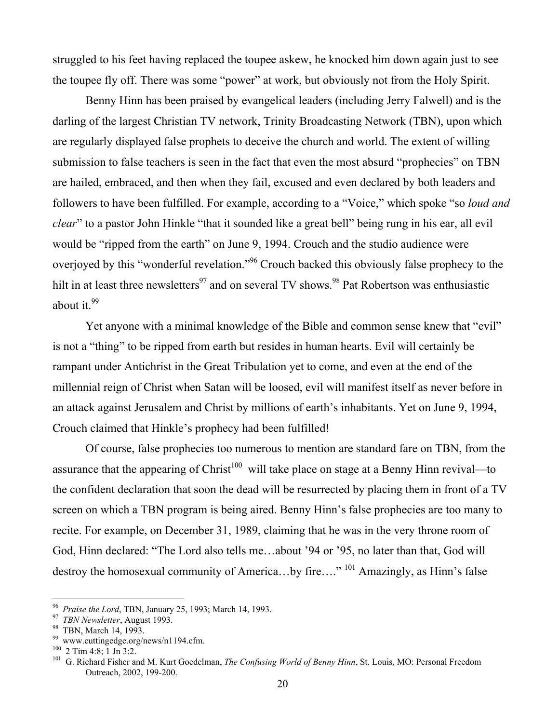struggled to his feet having replaced the toupee askew, he knocked him down again just to see the toupee fly off. There was some "power" at work, but obviously not from the Holy Spirit.

Benny Hinn has been praised by evangelical leaders (including Jerry Falwell) and is the darling of the largest Christian TV network, Trinity Broadcasting Network (TBN), upon which are regularly displayed false prophets to deceive the church and world. The extent of willing submission to false teachers is seen in the fact that even the most absurd "prophecies" on TBN are hailed, embraced, and then when they fail, excused and even declared by both leaders and followers to have been fulfilled. For example, according to a "Voice," which spoke "so *loud and clear*" to a pastor John Hinkle "that it sounded like a great bell" being rung in his ear, all evil would be "ripped from the earth" on June 9, 1994. Crouch and the studio audience were overjoyed by this "wonderful revelation."<sup>96</sup> Crouch backed this obviously false prophecy to the hilt in at least three newsletters<sup>97</sup> and on several TV shows.<sup>98</sup> Pat Robertson was enthusiastic about it. $99$ 

Yet anyone with a minimal knowledge of the Bible and common sense knew that "evil" is not a "thing" to be ripped from earth but resides in human hearts. Evil will certainly be rampant under Antichrist in the Great Tribulation yet to come, and even at the end of the millennial reign of Christ when Satan will be loosed, evil will manifest itself as never before in an attack against Jerusalem and Christ by millions of earth's inhabitants. Yet on June 9, 1994, Crouch claimed that Hinkle's prophecy had been fulfilled!

Of course, false prophecies too numerous to mention are standard fare on TBN, from the assurance that the appearing of Christ<sup>100</sup> will take place on stage at a Benny Hinn revival—to the confident declaration that soon the dead will be resurrected by placing them in front of a TV screen on which a TBN program is being aired. Benny Hinn's false prophecies are too many to recite. For example, on December 31, 1989, claiming that he was in the very throne room of God, Hinn declared: "The Lord also tells me…about '94 or '95, no later than that, God will destroy the homosexual community of America...by fire...."<sup>101</sup> Amazingly, as Hinn's false

 <sup>96</sup> <sup>96</sup> Praise the Lord, TBN, January 25, 1993; March 14, 1993.<br><sup>97</sup> TBM Nauglatten, Ayangt 1002.

<sup>&</sup>lt;sup>97</sup> TBN Newsletter, August 1993.

<sup>98</sup> TBN, March 14, 1993.

<sup>99</sup> www.cuttingedge.org/news/n1194.cfm.

 $^{100}$  2 Tim 4:8; 1 Jn 3:2.

<sup>&</sup>lt;sup>101</sup> G. Richard Fisher and M. Kurt Goedelman, *The Confusing World of Benny Hinn*, St. Louis, MO: Personal Freedom Outreach, 2002, 199-200.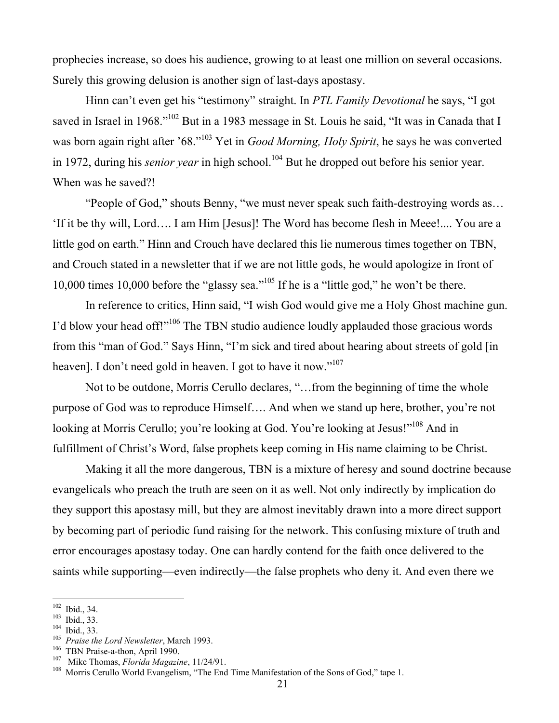prophecies increase, so does his audience, growing to at least one million on several occasions. Surely this growing delusion is another sign of last-days apostasy.

Hinn can't even get his "testimony" straight. In *PTL Family Devotional* he says, "I got saved in Israel in 1968."<sup>102</sup> But in a 1983 message in St. Louis he said, "It was in Canada that I was born again right after '68."<sup>103</sup> Yet in *Good Morning, Holy Spirit*, he says he was converted in 1972, during his *senior year* in high school.<sup>104</sup> But he dropped out before his senior year. When was he saved?!

"People of God," shouts Benny, "we must never speak such faith-destroying words as… 'If it be thy will, Lord…. I am Him [Jesus]! The Word has become flesh in Meee!.... You are a little god on earth." Hinn and Crouch have declared this lie numerous times together on TBN, and Crouch stated in a newsletter that if we are not little gods, he would apologize in front of 10,000 times 10,000 before the "glassy sea."<sup>105</sup> If he is a "little god," he won't be there.

In reference to critics, Hinn said, "I wish God would give me a Holy Ghost machine gun. I'd blow your head off!"<sup>106</sup> The TBN studio audience loudly applauded those gracious words from this "man of God." Says Hinn, "I'm sick and tired about hearing about streets of gold [in heaven]. I don't need gold in heaven. I got to have it now."<sup>107</sup>

Not to be outdone, Morris Cerullo declares, "…from the beginning of time the whole purpose of God was to reproduce Himself…. And when we stand up here, brother, you're not looking at Morris Cerullo; you're looking at God. You're looking at Jesus!"<sup>108</sup> And in fulfillment of Christ's Word, false prophets keep coming in His name claiming to be Christ.

Making it all the more dangerous, TBN is a mixture of heresy and sound doctrine because evangelicals who preach the truth are seen on it as well. Not only indirectly by implication do they support this apostasy mill, but they are almost inevitably drawn into a more direct support by becoming part of periodic fund raising for the network. This confusing mixture of truth and error encourages apostasy today. One can hardly contend for the faith once delivered to the saints while supporting—even indirectly—the false prophets who deny it. And even there we

 $\frac{102}{102}$  $\frac{102}{103}$  Ibid., 34.

 $103$  Ibid., 33.

 $104$  Ibid., 33.

<sup>&</sup>lt;sup>105</sup> Praise the Lord Newsletter, March 1993.

<sup>&</sup>lt;sup>106</sup> TBN Praise-a-thon, April 1990.

<sup>&</sup>lt;sup>107</sup> Mike Thomas, *Florida Magazine*, 11/24/91.

<sup>&</sup>lt;sup>108</sup> Morris Cerullo World Evangelism, "The End Time Manifestation of the Sons of God," tape 1.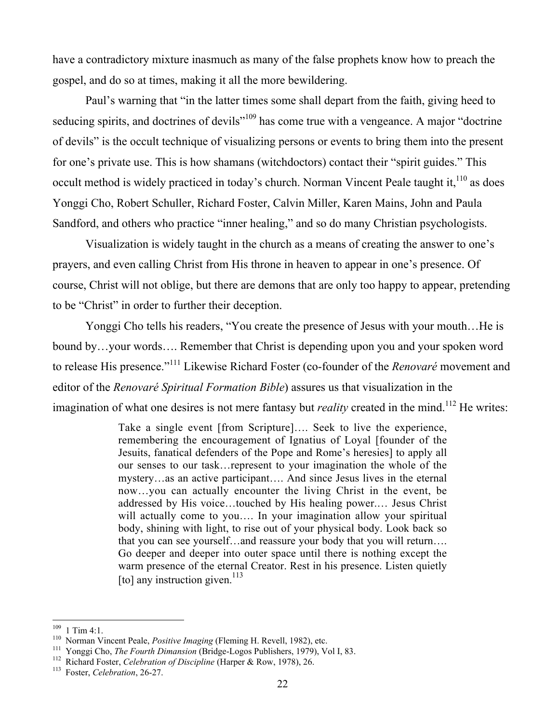have a contradictory mixture inasmuch as many of the false prophets know how to preach the gospel, and do so at times, making it all the more bewildering.

Paul's warning that "in the latter times some shall depart from the faith, giving heed to seducing spirits, and doctrines of devils"<sup>109</sup> has come true with a vengeance. A major "doctrine of devils" is the occult technique of visualizing persons or events to bring them into the present for one's private use. This is how shamans (witchdoctors) contact their "spirit guides." This occult method is widely practiced in today's church. Norman Vincent Peale taught it,  $110$  as does Yonggi Cho, Robert Schuller, Richard Foster, Calvin Miller, Karen Mains, John and Paula Sandford, and others who practice "inner healing," and so do many Christian psychologists.

Visualization is widely taught in the church as a means of creating the answer to one's prayers, and even calling Christ from His throne in heaven to appear in one's presence. Of course, Christ will not oblige, but there are demons that are only too happy to appear, pretending to be "Christ" in order to further their deception.

Yonggi Cho tells his readers, "You create the presence of Jesus with your mouth…He is bound by…your words…. Remember that Christ is depending upon you and your spoken word to release His presence."<sup>111</sup> Likewise Richard Foster (co-founder of the *Renovaré* movement and editor of the *Renovaré Spiritual Formation Bible*) assures us that visualization in the imagination of what one desires is not mere fantasy but *reality* created in the mind.<sup>112</sup> He writes:

> Take a single event [from Scripture]…. Seek to live the experience, remembering the encouragement of Ignatius of Loyal [founder of the Jesuits, fanatical defenders of the Pope and Rome's heresies] to apply all our senses to our task…represent to your imagination the whole of the mystery…as an active participant…. And since Jesus lives in the eternal now…you can actually encounter the living Christ in the event, be addressed by His voice…touched by His healing power.… Jesus Christ will actually come to you.... In your imagination allow your spiritual body, shining with light, to rise out of your physical body. Look back so that you can see yourself…and reassure your body that you will return…. Go deeper and deeper into outer space until there is nothing except the warm presence of the eternal Creator. Rest in his presence. Listen quietly [to] any instruction given.<sup>113</sup>

<sup>&</sup>lt;sup>109</sup>  $\frac{109}{110}$  1 Tim 4:1.

<sup>&</sup>lt;sup>110</sup> Norman Vincent Peale, *Positive Imaging* (Fleming H. Revell, 1982), etc.

<sup>&</sup>lt;sup>111</sup> Yonggi Cho, *The Fourth Dimansion* (Bridge-Logos Publishers, 1979), Vol I, 83.

<sup>&</sup>lt;sup>112</sup> Richard Foster, *Celebration of Discipline* (Harper & Row, 1978), 26.

Foster, *Celebration*, 26-27.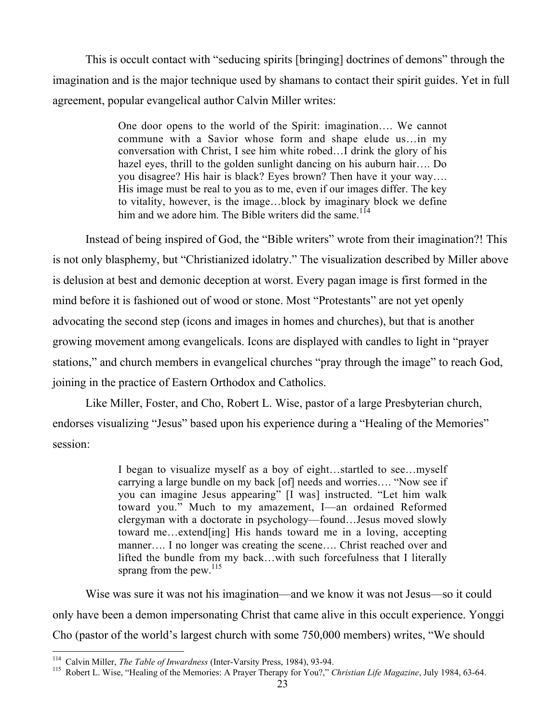This is occult contact with "seducing spirits [bringing] doctrines of demons" through the imagination and is the major technique used by shamans to contact their spirit guides. Yet in full agreement, popular evangelical author Calvin Miller writes:

> One door opens to the world of the Spirit: imagination…. We cannot commune with a Savior whose form and shape elude us…in my conversation with Christ, I see him white robed…I drink the glory of his hazel eyes, thrill to the golden sunlight dancing on his auburn hair…. Do you disagree? His hair is black? Eyes brown? Then have it your way…. His image must be real to you as to me, even if our images differ. The key to vitality, however, is the image…block by imaginary block we define him and we adore him. The Bible writers did the same.<sup>114</sup>

Instead of being inspired of God, the "Bible writers" wrote from their imagination?! This is not only blasphemy, but "Christianized idolatry." The visualization described by Miller above is delusion at best and demonic deception at worst. Every pagan image is first formed in the mind before it is fashioned out of wood or stone. Most "Protestants" are not yet openly advocating the second step (icons and images in homes and churches), but that is another growing movement among evangelicals. Icons are displayed with candles to light in "prayer stations," and church members in evangelical churches "pray through the image" to reach God, joining in the practice of Eastern Orthodox and Catholics.

Like Miller, Foster, and Cho, Robert L. Wise, pastor of a large Presbyterian church, endorses visualizing "Jesus" based upon his experience during a "Healing of the Memories" session:

> I began to visualize myself as a boy of eight…startled to see…myself carrying a large bundle on my back [of] needs and worries…. "Now see if you can imagine Jesus appearing" [I was] instructed. "Let him walk toward you." Much to my amazement, I—an ordained Reformed clergyman with a doctorate in psychology—found…Jesus moved slowly toward me…extend[ing] His hands toward me in a loving, accepting manner…. I no longer was creating the scene…. Christ reached over and lifted the bundle from my back…with such forcefulness that I literally sprang from the pew. $^{115}$

Wise was sure it was not his imagination—and we know it was not Jesus—so it could only have been a demon impersonating Christ that came alive in this occult experience. Yonggi Cho (pastor of the world's largest church with some 750,000 members) writes, "We should

 <sup>114</sup> <sup>114</sup> Calvin Miller, *The Table of Inwardness* (Inter-Varsity Press, 1984), 93-94.<br><sup>115</sup> Pobert L. Wise, "Healing of the Memorias: A Prever Therapy for Vev?"

Robert L. Wise, "Healing of the Memories: A Prayer Therapy for You?," *Christian Life Magazine*, July 1984, 63-64.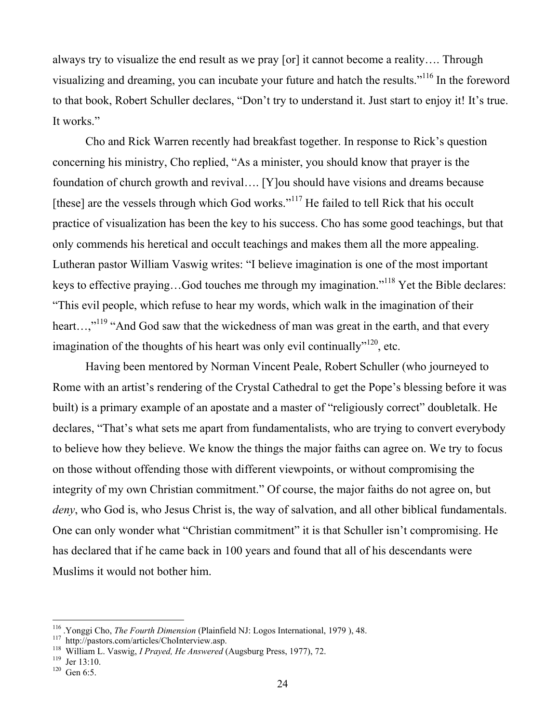always try to visualize the end result as we pray [or] it cannot become a reality…. Through visualizing and dreaming, you can incubate your future and hatch the results."<sup>116</sup> In the foreword to that book, Robert Schuller declares, "Don't try to understand it. Just start to enjoy it! It's true. It works."

Cho and Rick Warren recently had breakfast together. In response to Rick's question concerning his ministry, Cho replied, "As a minister, you should know that prayer is the foundation of church growth and revival…. [Y]ou should have visions and dreams because [these] are the vessels through which God works."<sup>117</sup> He failed to tell Rick that his occult practice of visualization has been the key to his success. Cho has some good teachings, but that only commends his heretical and occult teachings and makes them all the more appealing. Lutheran pastor William Vaswig writes: "I believe imagination is one of the most important keys to effective praying...God touches me through my imagination."<sup>118</sup> Yet the Bible declares: "This evil people, which refuse to hear my words, which walk in the imagination of their heart...,"<sup>119</sup> "And God saw that the wickedness of man was great in the earth, and that every imagination of the thoughts of his heart was only evil continually"<sup>120</sup>, etc.

Having been mentored by Norman Vincent Peale, Robert Schuller (who journeyed to Rome with an artist's rendering of the Crystal Cathedral to get the Pope's blessing before it was built) is a primary example of an apostate and a master of "religiously correct" doubletalk. He declares, "That's what sets me apart from fundamentalists, who are trying to convert everybody to believe how they believe. We know the things the major faiths can agree on. We try to focus on those without offending those with different viewpoints, or without compromising the integrity of my own Christian commitment." Of course, the major faiths do not agree on, but *deny*, who God is, who Jesus Christ is, the way of salvation, and all other biblical fundamentals. One can only wonder what "Christian commitment" it is that Schuller isn't compromising. He has declared that if he came back in 100 years and found that all of his descendants were Muslims it would not bother him.

<sup>&</sup>lt;sup>116</sup> <sup>116</sup> Yonggi Cho, *The Fourth Dimension* (Plainfield NJ: Logos International, 1979), 48.<br><sup>117</sup> http://pesters.com/articles/CheInterview.com

<sup>&</sup>lt;sup>117</sup> http://pastors.com/articles/ChoInterview.asp.

<sup>&</sup>lt;sup>118</sup> William L. Vaswig, *I Prayed, He Answered* (Augsburg Press, 1977), 72.

 $119$  Jer 13:10.

 $120$  Gen 6:5.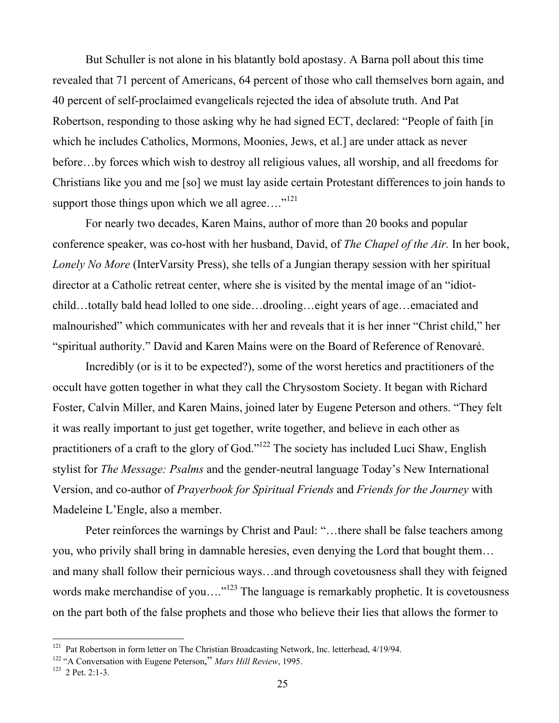But Schuller is not alone in his blatantly bold apostasy. A Barna poll about this time revealed that 71 percent of Americans, 64 percent of those who call themselves born again, and 40 percent of self-proclaimed evangelicals rejected the idea of absolute truth. And Pat Robertson, responding to those asking why he had signed ECT, declared: "People of faith [in which he includes Catholics, Mormons, Moonies, Jews, et al.] are under attack as never before…by forces which wish to destroy all religious values, all worship, and all freedoms for Christians like you and me [so] we must lay aside certain Protestant differences to join hands to support those things upon which we all agree.... $"^{121}$ 

For nearly two decades, Karen Mains, author of more than 20 books and popular conference speaker, was co-host with her husband, David, of *The Chapel of the Air.* In her book, *Lonely No More* (InterVarsity Press), she tells of a Jungian therapy session with her spiritual director at a Catholic retreat center, where she is visited by the mental image of an "idiotchild…totally bald head lolled to one side…drooling…eight years of age…emaciated and malnourished" which communicates with her and reveals that it is her inner "Christ child," her "spiritual authority." David and Karen Mains were on the Board of Reference of Renovaré.

Incredibly (or is it to be expected?), some of the worst heretics and practitioners of the occult have gotten together in what they call the Chrysostom Society. It began with Richard Foster, Calvin Miller, and Karen Mains, joined later by Eugene Peterson and others. "They felt it was really important to just get together, write together, and believe in each other as practitioners of a craft to the glory of God."<sup>122</sup> The society has included Luci Shaw, English stylist for *The Message: Psalms* and the gender-neutral language Today's New International Version, and co-author of *Prayerbook for Spiritual Friends* and *Friends for the Journey* with Madeleine L'Engle, also a member.

Peter reinforces the warnings by Christ and Paul: "...there shall be false teachers among you, who privily shall bring in damnable heresies, even denying the Lord that bought them… and many shall follow their pernicious ways…and through covetousness shall they with feigned words make merchandise of you...."<sup>123</sup> The language is remarkably prophetic. It is covetousness on the part both of the false prophets and those who believe their lies that allows the former to

<sup>&</sup>lt;sup>121</sup> Pat Robertson in form letter on The Christian Broadcasting Network, Inc. letterhead, 4/19/94.

<sup>&</sup>lt;sup>122</sup> "A Conversation with Eugene Peterson," *Mars Hill Review*, 1995.<br><sup>123</sup> 2 Pot 2:1.3

 $123$  2 Pet. 2:1-3.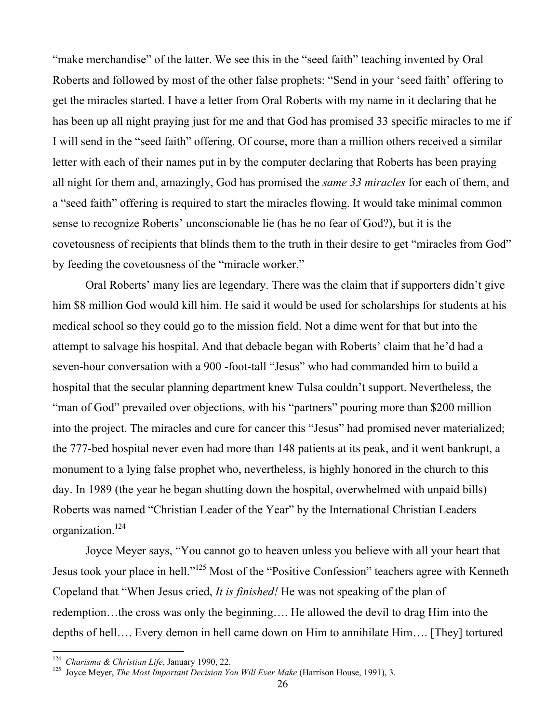"make merchandise" of the latter. We see this in the "seed faith" teaching invented by Oral Roberts and followed by most of the other false prophets: "Send in your 'seed faith' offering to get the miracles started. I have a letter from Oral Roberts with my name in it declaring that he has been up all night praying just for me and that God has promised 33 specific miracles to me if I will send in the "seed faith" offering. Of course, more than a million others received a similar letter with each of their names put in by the computer declaring that Roberts has been praying all night for them and, amazingly, God has promised the *same 33 miracles* for each of them, and a "seed faith" offering is required to start the miracles flowing. It would take minimal common sense to recognize Roberts' unconscionable lie (has he no fear of God?), but it is the covetousness of recipients that blinds them to the truth in their desire to get "miracles from God" by feeding the covetousness of the "miracle worker."

Oral Roberts' many lies are legendary. There was the claim that if supporters didn't give him \$8 million God would kill him. He said it would be used for scholarships for students at his medical school so they could go to the mission field. Not a dime went for that but into the attempt to salvage his hospital. And that debacle began with Roberts' claim that he'd had a seven-hour conversation with a 900 -foot-tall "Jesus" who had commanded him to build a hospital that the secular planning department knew Tulsa couldn't support. Nevertheless, the "man of God" prevailed over objections, with his "partners" pouring more than \$200 million into the project. The miracles and cure for cancer this "Jesus" had promised never materialized; the 777-bed hospital never even had more than 148 patients at its peak, and it went bankrupt, a monument to a lying false prophet who, nevertheless, is highly honored in the church to this day. In 1989 (the year he began shutting down the hospital, overwhelmed with unpaid bills) Roberts was named "Christian Leader of the Year" by the International Christian Leaders organization.124

Joyce Meyer says, "You cannot go to heaven unless you believe with all your heart that Jesus took your place in hell."<sup>125</sup> Most of the "Positive Confession" teachers agree with Kenneth Copeland that "When Jesus cried, *It is finished!* He was not speaking of the plan of redemption…the cross was only the beginning…. He allowed the devil to drag Him into the depths of hell…. Every demon in hell came down on Him to annihilate Him…. [They] tortured

 <sup>124</sup> <sup>124</sup> Charisma & Christian Life, January 1990, 22.<br><sup>125</sup> Jouge Mayer, The Meet Important Desigion V.

<sup>&</sup>lt;sup>125</sup> Jovce Meyer, *The Most Important Decision You Will Ever Make* (Harrison House, 1991), 3.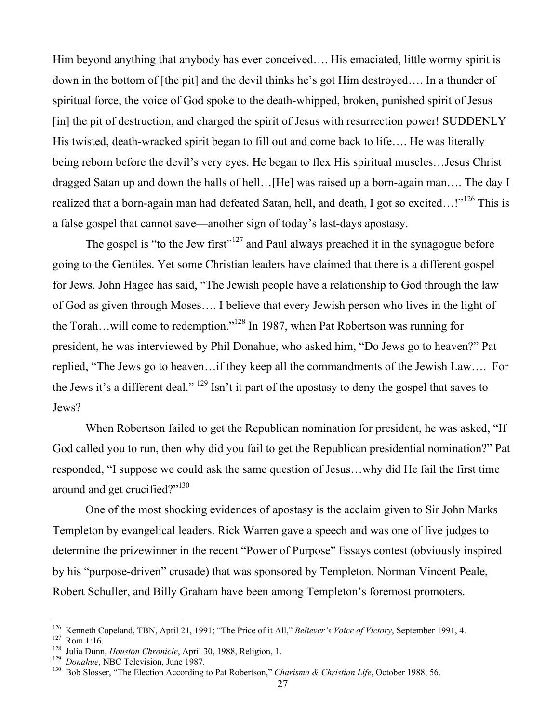Him beyond anything that anybody has ever conceived…. His emaciated, little wormy spirit is down in the bottom of [the pit] and the devil thinks he's got Him destroyed…. In a thunder of spiritual force, the voice of God spoke to the death-whipped, broken, punished spirit of Jesus [in] the pit of destruction, and charged the spirit of Jesus with resurrection power! SUDDENLY His twisted, death-wracked spirit began to fill out and come back to life…. He was literally being reborn before the devil's very eyes. He began to flex His spiritual muscles…Jesus Christ dragged Satan up and down the halls of hell…[He] was raised up a born-again man…. The day I realized that a born-again man had defeated Satan, hell, and death, I got so excited...!"<sup>126</sup> This is a false gospel that cannot save—another sign of today's last-days apostasy.

The gospel is "to the Jew first"<sup>127</sup> and Paul always preached it in the synagogue before going to the Gentiles. Yet some Christian leaders have claimed that there is a different gospel for Jews. John Hagee has said, "The Jewish people have a relationship to God through the law of God as given through Moses…. I believe that every Jewish person who lives in the light of the Torah...will come to redemption."<sup>128</sup> In 1987, when Pat Robertson was running for president, he was interviewed by Phil Donahue, who asked him, "Do Jews go to heaven?" Pat replied, "The Jews go to heaven…if they keep all the commandments of the Jewish Law…. For the Jews it's a different deal." <sup>129</sup> Isn't it part of the apostasy to deny the gospel that saves to Jews?

When Robertson failed to get the Republican nomination for president, he was asked, "If God called you to run, then why did you fail to get the Republican presidential nomination?" Pat responded, "I suppose we could ask the same question of Jesus…why did He fail the first time around and get crucified?"<sup>130</sup>

One of the most shocking evidences of apostasy is the acclaim given to Sir John Marks Templeton by evangelical leaders. Rick Warren gave a speech and was one of five judges to determine the prizewinner in the recent "Power of Purpose" Essays contest (obviously inspired by his "purpose-driven" crusade) that was sponsored by Templeton. Norman Vincent Peale, Robert Schuller, and Billy Graham have been among Templeton's foremost promoters.

 $\frac{1}{126}$ <sup>126</sup> Kenneth Copeland, TBN, April 21, 1991; "The Price of it All," *Believer's Voice of Victory*, September 1991, 4. <sup>127</sup> Porn 1:16

 $127$  Rom 1:16.

<sup>&</sup>lt;sup>128</sup> Julia Dunn, *Houston Chronicle*, April 30, 1988, Religion, 1.<br><sup>129</sup> Donahua NBC Television, June 1987

<sup>&</sup>lt;sup>129</sup> Donahue, NBC Television, June 1987.<br><sup>130</sup> Bob Slosser "The Election According.

Bob Slosser, "The Election According to Pat Robertson," *Charisma & Christian Life*, October 1988, 56.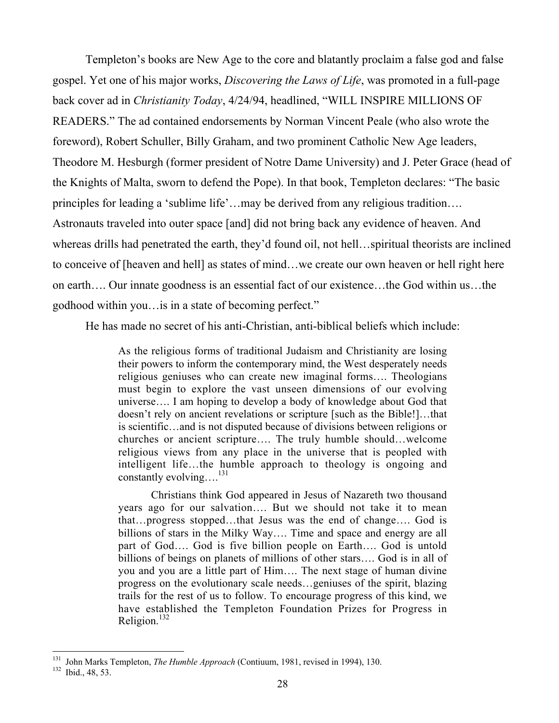Templeton's books are New Age to the core and blatantly proclaim a false god and false gospel. Yet one of his major works, *Discovering the Laws of Life*, was promoted in a full-page back cover ad in *Christianity Today*, 4/24/94, headlined, "WILL INSPIRE MILLIONS OF READERS." The ad contained endorsements by Norman Vincent Peale (who also wrote the foreword), Robert Schuller, Billy Graham, and two prominent Catholic New Age leaders, Theodore M. Hesburgh (former president of Notre Dame University) and J. Peter Grace (head of the Knights of Malta, sworn to defend the Pope). In that book, Templeton declares: "The basic principles for leading a 'sublime life'…may be derived from any religious tradition…. Astronauts traveled into outer space [and] did not bring back any evidence of heaven. And whereas drills had penetrated the earth, they'd found oil, not hell…spiritual theorists are inclined to conceive of [heaven and hell] as states of mind…we create our own heaven or hell right here on earth…. Our innate goodness is an essential fact of our existence…the God within us…the godhood within you…is in a state of becoming perfect."

He has made no secret of his anti-Christian, anti-biblical beliefs which include:

As the religious forms of traditional Judaism and Christianity are losing their powers to inform the contemporary mind, the West desperately needs religious geniuses who can create new imaginal forms…. Theologians must begin to explore the vast unseen dimensions of our evolving universe…. I am hoping to develop a body of knowledge about God that doesn't rely on ancient revelations or scripture [such as the Bible!]…that is scientific…and is not disputed because of divisions between religions or churches or ancient scripture…. The truly humble should…welcome religious views from any place in the universe that is peopled with intelligent life…the humble approach to theology is ongoing and constantly evolving....<sup>131</sup>

Christians think God appeared in Jesus of Nazareth two thousand years ago for our salvation…. But we should not take it to mean that…progress stopped…that Jesus was the end of change…. God is billions of stars in the Milky Way…. Time and space and energy are all part of God…. God is five billion people on Earth…. God is untold billions of beings on planets of millions of other stars…. God is in all of you and you are a little part of Him…. The next stage of human divine progress on the evolutionary scale needs…geniuses of the spirit, blazing trails for the rest of us to follow. To encourage progress of this kind, we have established the Templeton Foundation Prizes for Progress in Religion.<sup>132</sup>

 <sup>131</sup> <sup>131</sup> John Marks Templeton, *The Humble Approach* (Contiuum, 1981, revised in 1994), 130.<br><sup>132</sup> Ibid. 48, 53

<sup>&</sup>lt;sup>132</sup> Ibid., 48, 53.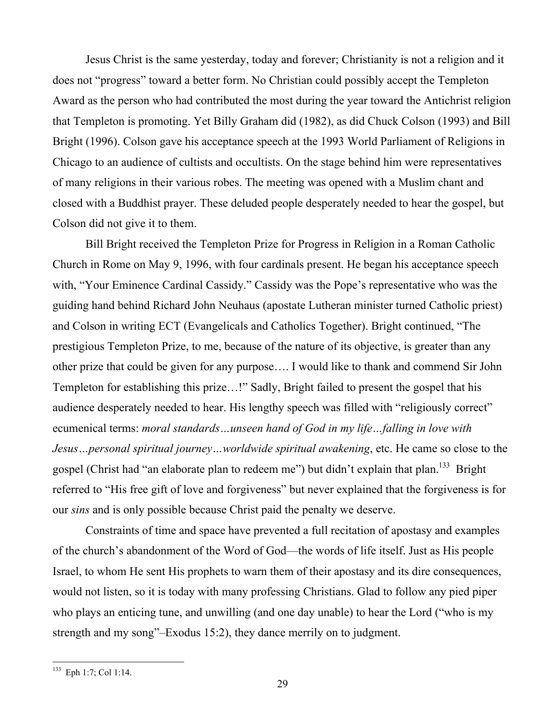Jesus Christ is the same yesterday, today and forever; Christianity is not a religion and it does not "progress" toward a better form. No Christian could possibly accept the Templeton Award as the person who had contributed the most during the year toward the Antichrist religion that Templeton is promoting. Yet Billy Graham did (1982), as did Chuck Colson (1993) and Bill Bright (1996). Colson gave his acceptance speech at the 1993 World Parliament of Religions in Chicago to an audience of cultists and occultists. On the stage behind him were representatives of many religions in their various robes. The meeting was opened with a Muslim chant and closed with a Buddhist prayer. These deluded people desperately needed to hear the gospel, but Colson did not give it to them.

Bill Bright received the Templeton Prize for Progress in Religion in a Roman Catholic Church in Rome on May 9, 1996, with four cardinals present. He began his acceptance speech with, "Your Eminence Cardinal Cassidy." Cassidy was the Pope's representative who was the guiding hand behind Richard John Neuhaus (apostate Lutheran minister turned Catholic priest) and Colson in writing ECT (Evangelicals and Catholics Together). Bright continued, "The prestigious Templeton Prize, to me, because of the nature of its objective, is greater than any other prize that could be given for any purpose…. I would like to thank and commend Sir John Templeton for establishing this prize…!" Sadly, Bright failed to present the gospel that his audience desperately needed to hear. His lengthy speech was filled with "religiously correct" ecumenical terms: *moral standards…unseen hand of God in my life…falling in love with Jesus…personal spiritual journey…worldwide spiritual awakening*, etc. He came so close to the gospel (Christ had "an elaborate plan to redeem me") but didn't explain that plan.<sup>133</sup> Bright referred to "His free gift of love and forgiveness" but never explained that the forgiveness is for our *sins* and is only possible because Christ paid the penalty we deserve.

Constraints of time and space have prevented a full recitation of apostasy and examples of the church's abandonment of the Word of God—the words of life itself. Just as His people Israel, to whom He sent His prophets to warn them of their apostasy and its dire consequences, would not listen, so it is today with many professing Christians. Glad to follow any pied piper who plays an enticing tune, and unwilling (and one day unable) to hear the Lord ("who is my strength and my song"–Exodus 15:2), they dance merrily on to judgment.

 <sup>133</sup> Eph 1:7; Col 1:14.